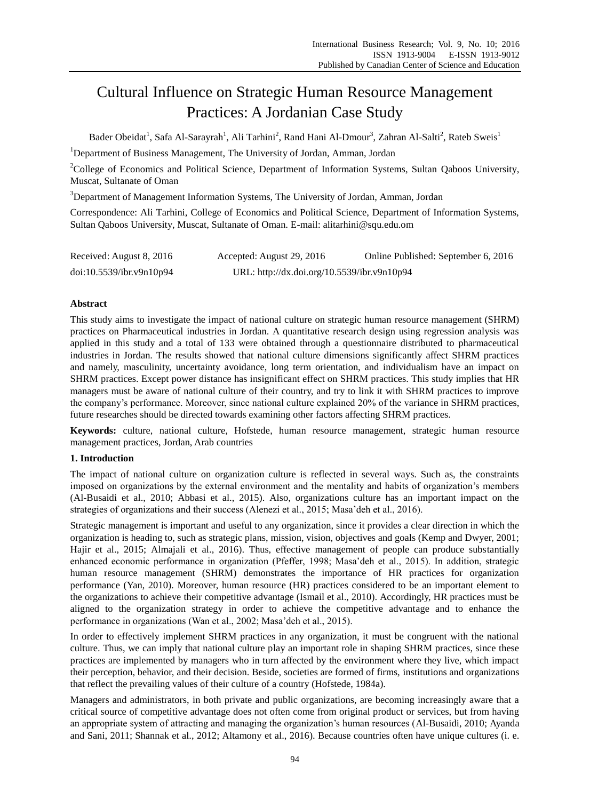# Cultural Influence on Strategic Human Resource Management Practices: A Jordanian Case Study

Bader Obeidat<sup>1</sup>, Safa Al-Sarayrah<sup>1</sup>, Ali Tarhini<sup>2</sup>, Rand Hani Al-Dmour<sup>3</sup>, Zahran Al-Salti<sup>2</sup>, Rateb Sweis<sup>1</sup>

<sup>1</sup>Department of Business Management, The University of Jordan, Amman, Jordan

<sup>2</sup>College of Economics and Political Science, Department of Information Systems, Sultan Oaboos University, Muscat, Sultanate of Oman

<sup>3</sup>Department of Management Information Systems, The University of Jordan, Amman, Jordan

Correspondence: Ali Tarhini, College of Economics and Political Science, Department of Information Systems, Sultan Qaboos University, Muscat, Sultanate of Oman. E-mail: alitarhini@squ.edu.om

| Received: August 8, 2016 | Accepted: August 29, 2016                   | Online Published: September 6, 2016 |
|--------------------------|---------------------------------------------|-------------------------------------|
| doi:10.5539/ibr.v9n10p94 | URL: http://dx.doi.org/10.5539/ibr.v9n10p94 |                                     |

## **Abstract**

This study aims to investigate the impact of national culture on strategic human resource management (SHRM) practices on Pharmaceutical industries in Jordan. A quantitative research design using regression analysis was applied in this study and a total of 133 were obtained through a questionnaire distributed to pharmaceutical industries in Jordan. The results showed that national culture dimensions significantly affect SHRM practices and namely, masculinity, uncertainty avoidance, long term orientation, and individualism have an impact on SHRM practices. Except power distance has insignificant effect on SHRM practices. This study implies that HR managers must be aware of national culture of their country, and try to link it with SHRM practices to improve the company"s performance. Moreover, since national culture explained 20% of the variance in SHRM practices, future researches should be directed towards examining other factors affecting SHRM practices.

**Keywords:** culture, national culture, Hofstede, human resource management, strategic human resource management practices, Jordan, Arab countries

## **1. Introduction**

The impact of national culture on organization culture is reflected in several ways. Such as, the constraints imposed on organizations by the external environment and the mentality and habits of organization"s members (Al-Busaidi et al., 2010; Abbasi et al., 2015). Also, organizations culture has an important impact on the strategies of organizations and their success (Alenezi et al., 2015; Masa"deh et al., 2016).

Strategic management is important and useful to any organization, since it provides a clear direction in which the organization is heading to, such as strategic plans, mission, vision, objectives and goals (Kemp and Dwyer, 2001; Hajir et al., 2015; Almajali et al., 2016). Thus, effective management of people can produce substantially enhanced economic performance in organization (Pfeffer, 1998; Masa"deh et al., 2015). In addition, strategic human resource management (SHRM) demonstrates the importance of HR practices for organization performance (Yan, 2010). Moreover, human resource (HR) practices considered to be an important element to the organizations to achieve their competitive advantage (Ismail et al., 2010). Accordingly, HR practices must be aligned to the organization strategy in order to achieve the competitive advantage and to enhance the performance in organizations (Wan et al., 2002; Masa'deh et al., 2015).

In order to effectively implement SHRM practices in any organization, it must be congruent with the national culture. Thus, we can imply that national culture play an important role in shaping SHRM practices, since these practices are implemented by managers who in turn affected by the environment where they live, which impact their perception, behavior, and their decision. Beside, societies are formed of firms, institutions and organizations that reflect the prevailing values of their culture of a country (Hofstede, 1984a).

Managers and administrators, in both private and public organizations, are becoming increasingly aware that a critical source of competitive advantage does not often come from original product or services, but from having an appropriate system of attracting and managing the organization"s human resources (Al-Busaidi, 2010; Ayanda and Sani, 2011; Shannak et al., 2012; Altamony et al., 2016). Because countries often have unique cultures (i. e.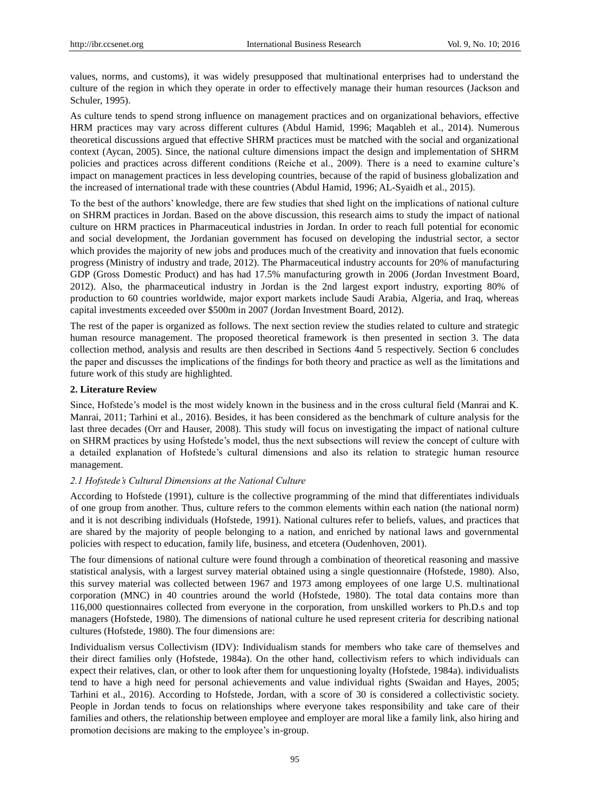values, norms, and customs), it was widely presupposed that multinational enterprises had to understand the culture of the region in which they operate in order to effectively manage their human resources (Jackson and Schuler, 1995).

As culture tends to spend strong influence on management practices and on organizational behaviors, effective HRM practices may vary across different cultures (Abdul Hamid, 1996; Maqableh et al., 2014). Numerous theoretical discussions argued that effective SHRM practices must be matched with the social and organizational context (Aycan, 2005). Since, the national culture dimensions impact the design and implementation of SHRM policies and practices across different conditions (Reiche et al., 2009). There is a need to examine culture"s impact on management practices in less developing countries, because of the rapid of business globalization and the increased of international trade with these countries (Abdul Hamid, 1996; AL-Syaidh et al., 2015).

To the best of the authors" knowledge, there are few studies that shed light on the implications of national culture on SHRM practices in Jordan. Based on the above discussion, this research aims to study the impact of national culture on HRM practices in Pharmaceutical industries in Jordan. In order to reach full potential for economic and social development, the Jordanian government has focused on developing the industrial sector, a sector which provides the majority of new jobs and produces much of the creativity and innovation that fuels economic progress (Ministry of industry and trade, 2012). The Pharmaceutical industry accounts for 20% of manufacturing GDP (Gross Domestic Product) and has had 17.5% manufacturing growth in 2006 (Jordan Investment Board, 2012). Also, the pharmaceutical industry in Jordan is the 2nd largest export industry, exporting 80% of production to 60 countries worldwide, major export markets include Saudi Arabia, Algeria, and Iraq, whereas capital investments exceeded over \$500m in 2007 (Jordan Investment Board, 2012).

The rest of the paper is organized as follows. The next section review the studies related to culture and strategic human resource management. The proposed theoretical framework is then presented in section 3. The data collection method, analysis and results are then described in Sections 4and 5 respectively. Section 6 concludes the paper and discusses the implications of the findings for both theory and practice as well as the limitations and future work of this study are highlighted.

## **2. Literature Review**

Since, Hofstede"s model is the most widely known in the business and in the cross cultural field (Manrai and K. Manrai, 2011; Tarhini et al., 2016). Besides, it has been considered as the benchmark of culture analysis for the last three decades (Orr and Hauser, 2008). This study will focus on investigating the impact of national culture on SHRM practices by using Hofstede"s model, thus the next subsections will review the concept of culture with a detailed explanation of Hofstede"s cultural dimensions and also its relation to strategic human resource management.

## *2.1 Hofstede's Cultural Dimensions at the National Culture*

According to Hofstede (1991), culture is the collective programming of the mind that differentiates individuals of one group from another. Thus, culture refers to the common elements within each nation (the national norm) and it is not describing individuals (Hofstede, 1991). National cultures refer to beliefs, values, and practices that are shared by the majority of people belonging to a nation, and enriched by national laws and governmental policies with respect to education, family life, business, and etcetera (Oudenhoven, 2001).

The four dimensions of national culture were found through a combination of theoretical reasoning and massive statistical analysis, with a largest survey material obtained using a single questionnaire (Hofstede, 1980). Also, this survey material was collected between 1967 and 1973 among employees of one large U.S. multinational corporation (MNC) in 40 countries around the world (Hofstede, 1980). The total data contains more than 116,000 questionnaires collected from everyone in the corporation, from unskilled workers to Ph.D.s and top managers (Hofstede, 1980). The dimensions of national culture he used represent criteria for describing national cultures (Hofstede, 1980). The four dimensions are:

Individualism versus Collectivism (IDV): Individualism stands for members who take care of themselves and their direct families only (Hofstede, 1984a). On the other hand, collectivism refers to which individuals can expect their relatives, clan, or other to look after them for unquestioning loyalty (Hofstede, 1984a). individualists tend to have a high need for personal achievements and value individual rights (Swaidan and Hayes, 2005; Tarhini et al., 2016). According to Hofstede, Jordan, with a score of 30 is considered a collectivistic society. People in Jordan tends to focus on relationships where everyone takes responsibility and take care of their families and others, the relationship between employee and employer are moral like a family link, also hiring and promotion decisions are making to the employee"s in-group.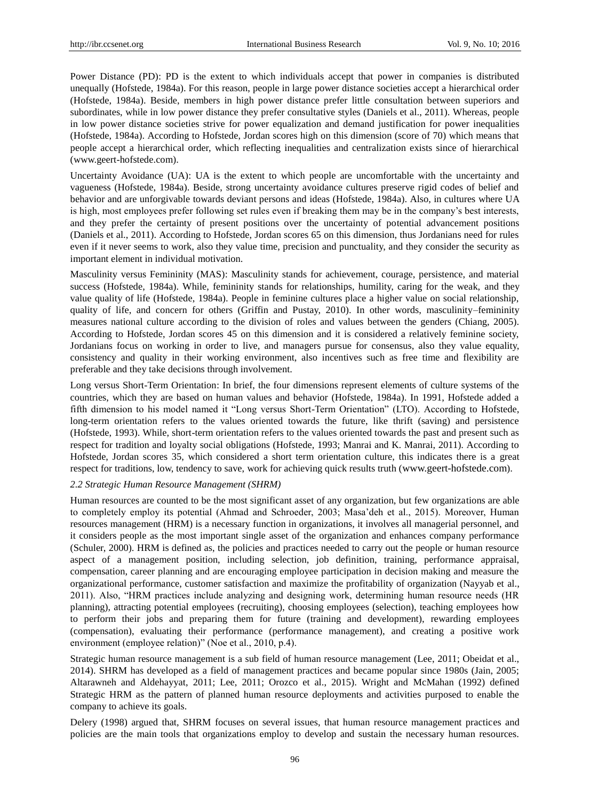Power Distance (PD): PD is the extent to which individuals accept that power in companies is distributed unequally (Hofstede, 1984a). For this reason, people in large power distance societies accept a hierarchical order (Hofstede, 1984a). Beside, members in high power distance prefer little consultation between superiors and subordinates, while in low power distance they prefer consultative styles (Daniels et al., 2011). Whereas, people in low power distance societies strive for power equalization and demand justification for power inequalities (Hofstede, 1984a). According to Hofstede, Jordan scores high on this dimension (score of 70) which means that people accept a hierarchical order, which reflecting inequalities and centralization exists since of hierarchical (www.geert-hofstede.com).

Uncertainty Avoidance (UA): UA is the extent to which people are uncomfortable with the uncertainty and vagueness (Hofstede, 1984a). Beside, strong uncertainty avoidance cultures preserve rigid codes of belief and behavior and are unforgivable towards deviant persons and ideas (Hofstede, 1984a). Also, in cultures where UA is high, most employees prefer following set rules even if breaking them may be in the company"s best interests, and they prefer the certainty of present positions over the uncertainty of potential advancement positions (Daniels et al., 2011). According to Hofstede, Jordan scores 65 on this dimension, thus Jordanians need for rules even if it never seems to work, also they value time, precision and punctuality, and they consider the security as important element in individual motivation.

Masculinity versus Femininity (MAS): Masculinity stands for achievement, courage, persistence, and material success (Hofstede, 1984a). While, femininity stands for relationships, humility, caring for the weak, and they value quality of life (Hofstede, 1984a). People in feminine cultures place a higher value on social relationship, quality of life, and concern for others (Griffin and Pustay, 2010). In other words, masculinity–femininity measures national culture according to the division of roles and values between the genders (Chiang, 2005). According to Hofstede, Jordan scores 45 on this dimension and it is considered a relatively feminine society, Jordanians focus on working in order to live, and managers pursue for consensus, also they value equality, consistency and quality in their working environment, also incentives such as free time and flexibility are preferable and they take decisions through involvement.

Long versus Short-Term Orientation: In brief, the four dimensions represent elements of culture systems of the countries, which they are based on human values and behavior (Hofstede, 1984a). In 1991, Hofstede added a fifth dimension to his model named it "Long versus Short-Term Orientation" (LTO). According to Hofstede, long-term orientation refers to the values oriented towards the future, like thrift (saving) and persistence (Hofstede, 1993). While, short-term orientation refers to the values oriented towards the past and present such as respect for tradition and loyalty social obligations (Hofstede, 1993; Manrai and K. Manrai, 2011). According to Hofstede, Jordan scores 35, which considered a short term orientation culture, this indicates there is a great respect for traditions, low, tendency to save, work for achieving quick results truth ([www.geert-hofstede.com](http://www.geert-hofstede.com/)).

## *2.2 Strategic Human Resource Management (SHRM)*

Human resources are counted to be the most significant asset of any organization, but few organizations are able to completely employ its potential (Ahmad and Schroeder, 2003; Masa"deh et al., 2015). Moreover, Human resources management (HRM) is a necessary function in organizations, it involves all managerial personnel, and it considers people as the most important single asset of the organization and enhances company performance (Schuler, 2000). HRM is defined as, the policies and practices needed to carry out the people or human resource aspect of a management position, including selection, job definition, training, performance appraisal, compensation, career planning and are encouraging employee participation in decision making and measure the organizational performance, customer satisfaction and maximize the profitability of organization (Nayyab et al., 2011). Also, "HRM practices include analyzing and designing work, determining human resource needs (HR planning), attracting potential employees (recruiting), choosing employees (selection), teaching employees how to perform their jobs and preparing them for future (training and development), rewarding employees (compensation), evaluating their performance (performance management), and creating a positive work environment (employee relation)" (Noe et al., 2010, p.4).

Strategic human resource management is a sub field of human resource management (Lee, 2011; Obeidat et al., 2014). SHRM has developed as a field of management practices and became popular since 1980s (Jain, 2005; Altarawneh and Aldehayyat, 2011; Lee, 2011; Orozco et al., 2015). Wright and McMahan (1992) defined Strategic HRM as the pattern of planned human resource deployments and activities purposed to enable the company to achieve its goals.

Delery (1998) argued that, SHRM focuses on several issues, that human resource management practices and policies are the main tools that organizations employ to develop and sustain the necessary human resources.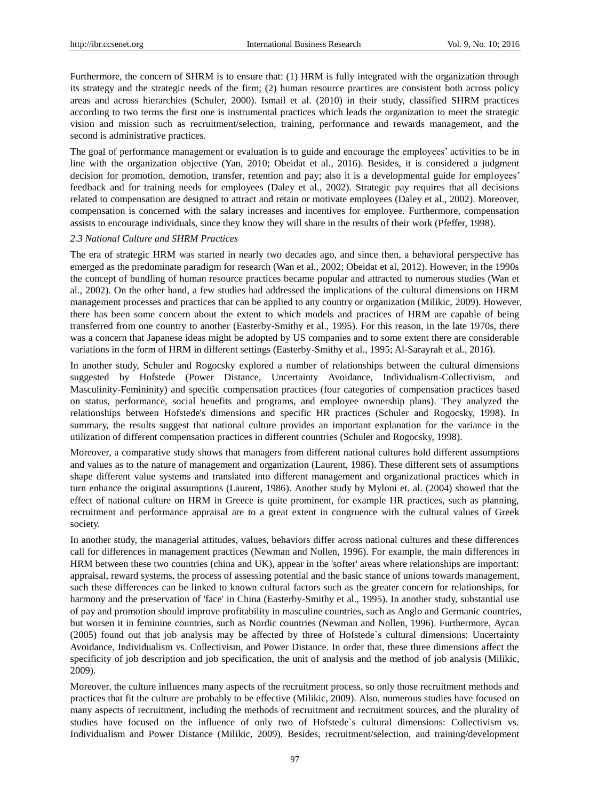Furthermore, the concern of SHRM is to ensure that: (1) HRM is fully integrated with the organization through its strategy and the strategic needs of the firm; (2) human resource practices are consistent both across policy areas and across hierarchies (Schuler, 2000). Ismail et al. (2010) in their study, classified SHRM practices according to two terms the first one is instrumental practices which leads the organization to meet the strategic vision and mission such as recruitment/selection, training, performance and rewards management, and the second is administrative practices.

The goal of performance management or evaluation is to guide and encourage the employees" activities to be in line with the organization objective (Yan, 2010; Obeidat et al., 2016). Besides, it is considered a judgment decision for promotion, demotion, transfer, retention and pay; also it is a developmental guide for employees' feedback and for training needs for employees (Daley et al., 2002). Strategic pay requires that all decisions related to compensation are designed to attract and retain or motivate employees (Daley et al., 2002). Moreover, compensation is concerned with the salary increases and incentives for employee. Furthermore, compensation assists to encourage individuals, since they know they will share in the results of their work (Pfeffer, 1998).

#### *2.3 National Culture and SHRM Practices*

The era of strategic HRM was started in nearly two decades ago, and since then, a behavioral perspective has emerged as the predominate paradigm for research (Wan et al., 2002; Obeidat et al, 2012). However, in the 1990s the concept of bundling of human resource practices became popular and attracted to numerous studies (Wan et al., 2002). On the other hand, a few studies had addressed the implications of the cultural dimensions on HRM management processes and practices that can be applied to any country or organization (Milikic, 2009). However, there has been some concern about the extent to which models and practices of HRM are capable of being transferred from one country to another (Easterby-Smithy et al., 1995). For this reason, in the late 1970s, there was a concern that Japanese ideas might be adopted by US companies and to some extent there are considerable variations in the form of HRM in different settings (Easterby-Smithy et al., 1995; Al-Sarayrah et al., 2016).

In another study, Schuler and Rogocsky explored a number of relationships between the cultural dimensions suggested by Hofstede (Power Distance, Uncertainty Avoidance, Individualism-Collectivism, and Masculinity-Femininity) and specific compensation practices (four categories of compensation practices based on status, performance, social benefits and programs, and employee ownership plans). They analyzed the relationships between Hofstede's dimensions and specific HR practices (Schuler and Rogocsky, 1998). In summary, the results suggest that national culture provides an important explanation for the variance in the utilization of different compensation practices in different countries (Schuler and Rogocsky, 1998).

Moreover, a comparative study shows that managers from different national cultures hold different assumptions and values as to the nature of management and organization (Laurent, 1986). These different sets of assumptions shape different value systems and translated into different management and organizational practices which in turn enhance the original assumptions (Laurent, 1986). Another study by Myloni et. al. (2004) showed that the effect of national culture on HRM in Greece is quite prominent, for example HR practices, such as planning, recruitment and performance appraisal are to a great extent in congruence with the cultural values of Greek society.

In another study, the managerial attitudes, values, behaviors differ across national cultures and these differences call for differences in management practices (Newman and Nollen, 1996). For example, the main differences in HRM between these two countries (china and UK), appear in the 'softer' areas where relationships are important: appraisal, reward systems, the process of assessing potential and the basic stance of unions towards management, such these differences can be linked to known cultural factors such as the greater concern for relationships, for harmony and the preservation of 'face' in China (Easterby-Smithy et al., 1995). In another study, substantial use of pay and promotion should improve profitability in masculine countries, such as Anglo and Germanic countries, but worsen it in feminine countries, such as Nordic countries (Newman and Nollen, 1996). Furthermore, Aycan (2005) found out that job analysis may be affected by three of Hofstede`s cultural dimensions: Uncertainty Avoidance, Individualism vs. Collectivism, and Power Distance. In order that, these three dimensions affect the specificity of job description and job specification, the unit of analysis and the method of job analysis (Milikic, 2009).

Moreover, the culture influences many aspects of the recruitment process, so only those recruitment methods and practices that fit the culture are probably to be effective (Milikic, 2009). Also, numerous studies have focused on many aspects of recruitment, including the methods of recruitment and recruitment sources, and the plurality of studies have focused on the influence of only two of Hofstede`s cultural dimensions: Collectivism vs. Individualism and Power Distance (Milikic, 2009). Besides, recruitment/selection, and training/development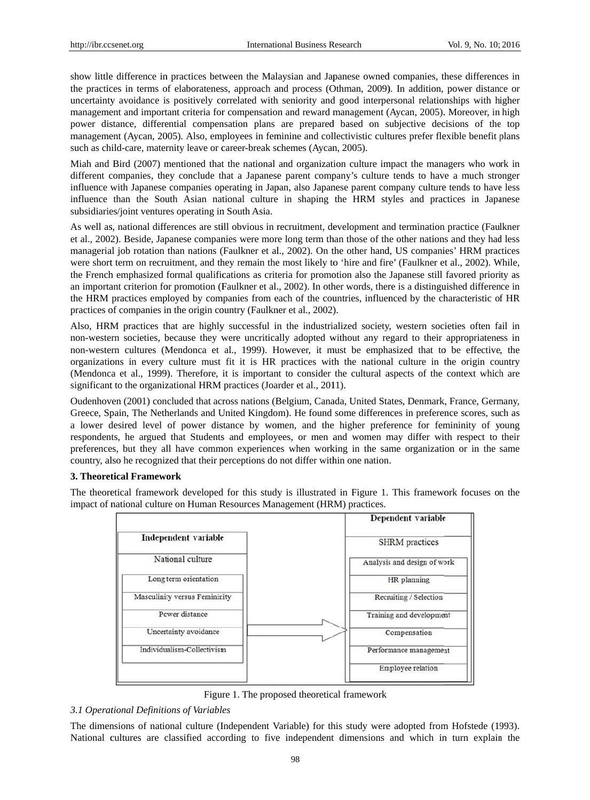show little difference in practices between the Malaysian and Japanese owned companies, these differences in the practices in terms of elaborateness, approach and process (Othman, 2009). In addition, power distance or uncertainty avoidance is positively correlated with seniority and good interpersonal relationships with higher management and important criteria for compensation and reward management (Aycan, 2005). Moreover, in high power distance, differential compensation plans are prepared based on subjective decisions of the top management (Aycan, 2005). Also, employees in feminine and collectivistic cultures prefer flexible benefit plans such as child-care, maternity leave or career-break schemes (Aycan, 2005).

Miah and Bird (2007) mentioned that the national and organization culture impact the managers who work in different companies, they conclude that a Japanese parent company's culture tends to have a much stronger influence with Japanese companies operating in Japan, also Japanese parent company culture tends to have less influence than the South Asian national culture in shaping the HRM styles and practices in Japanese subsidiaries/joint ventures operating in South Asia.

As well as, national differences are still obvious in recruitment, development and termination practice (Faulkner et al., 2002). Beside, Japanese companies were more long term than those of the other nations and they had less managerial job rotation than nations (Faulkner et al., 2002). On the other hand, US companies' HRM practices were short term on recruitment, and they remain the most likely to 'hire and fire' (Faulkner et al., 2002). While, the French emphasized formal qualifications as criteria for promotion also the Japanese still favored priority as an important criterion for promotion (Faulkner et al., 2002). In other words, there is a distinguished difference in the HRM practices employed by companies from each of the countries, influenced by the characteristic of HR practices of companies in the origin country (Faulkner et al., 2002).

Also, HRM practices that are highly successful in the industrialized society, western societies often fail in non-western societies, because they were uncritically adopted without any regard to their appropriateness in non-western cultures (Mendonca et al., 1999). However, it must be emphasized that to be effective, the organizations in every culture must fit it is HR practices with the national culture in the origin country (Mendonca et al., 1999). Therefore, it is important to consider the cultural aspects of the context which are significant to the organizational HRM practices (Joarder et al., 2011).

Oudenhoven (2001) concluded that across nations (Belgium, Canada, United States, Denmark, France, Germany, Greece, Spain, The Netherlands and United Kingdom). He found some differences in preference scores, such as a lower desired level of power distance by women, and the higher preference for femininity of young respondents, he argued that Students and employees, or men and women may differ with respect to their preferences, but they all have common experiences when working in the same organization or in the same country, also he recognized that their perceptions do not differ within one nation.

## **3. Theoret tical Framewo ork**

The theoretical framework developed for this study is illustrated in Figure 1. This framework focuses on the impact of national culture on Human Resources Management (HRM) practices.

| Dependent variable          |
|-----------------------------|
| <b>SHRM</b> practices       |
| Analysis and design of work |
| HR planning                 |
| Recruiting / Selection      |
| Training and development    |
| Compensation                |
| Performance management      |
| Employee relation           |
|                             |

Figure 1. The proposed theoretical framework

## *3.1 Operat tional Definiti ons of Variabl les*

The dimensions of national culture (Independent Variable) for this study were adopted from Hofstede (1993). National cultures are classified according to five independent dimensions and which in turn explain the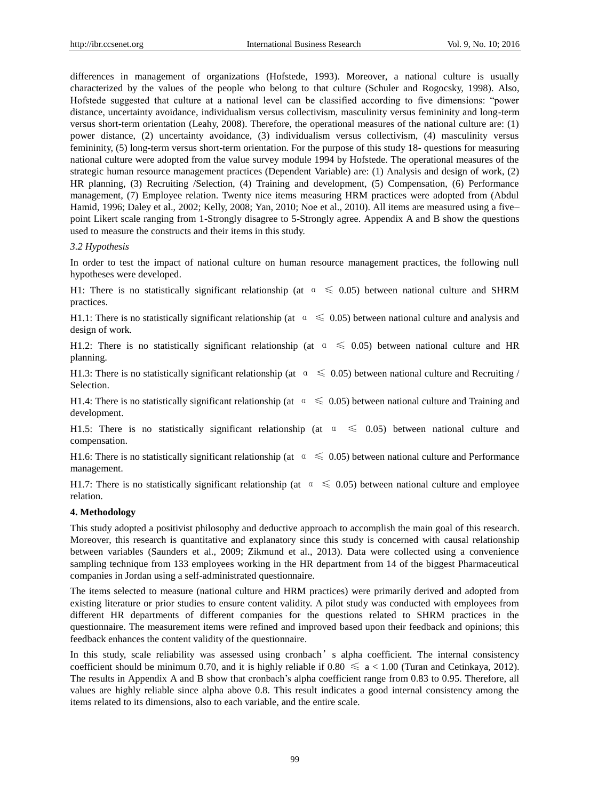differences in management of organizations (Hofstede, 1993). Moreover, a national culture is usually characterized by the values of the people who belong to that culture (Schuler and Rogocsky, 1998). Also, Hofstede suggested that culture at a national level can be classified according to five dimensions: "power distance, uncertainty avoidance, individualism versus collectivism, masculinity versus femininity and long-term versus short-term orientation (Leahy, 2008). Therefore, the operational measures of the national culture are: (1) power distance, (2) uncertainty avoidance, (3) individualism versus collectivism, (4) masculinity versus femininity, (5) long-term versus short-term orientation. For the purpose of this study 18- questions for measuring national culture were adopted from the value survey module 1994 by Hofstede. The operational measures of the strategic human resource management practices (Dependent Variable) are: (1) Analysis and design of work, (2) HR planning, (3) Recruiting /Selection, (4) Training and development, (5) Compensation, (6) Performance management, (7) Employee relation. Twenty nice items measuring HRM practices were adopted from (Abdul Hamid, 1996; Daley et al., 2002; Kelly, 2008; Yan, 2010; Noe et al., 2010). All items are measured using a five– point Likert scale ranging from 1-Strongly disagree to 5-Strongly agree. Appendix A and B show the questions used to measure the constructs and their items in this study.

#### *3.2 Hypothesis*

In order to test the impact of national culture on human resource management practices, the following null hypotheses were developed.

H1: There is no statistically significant relationship (at  $\alpha \leq 0.05$ ) between national culture and SHRM practices.

H1.1: There is no statistically significant relationship (at  $\alpha \leq 0.05$ ) between national culture and analysis and design of work.

H1.2: There is no statistically significant relationship (at  $\alpha \leq 0.05$ ) between national culture and HR planning.

H1.3: There is no statistically significant relationship (at  $\alpha \leq 0.05$ ) between national culture and Recruiting / Selection.

H1.4: There is no statistically significant relationship (at  $\alpha \leq 0.05$ ) between national culture and Training and development.

H1.5: There is no statistically significant relationship (at  $\alpha \leq 0.05$ ) between national culture and compensation.

H1.6: There is no statistically significant relationship (at  $\alpha \leq 0.05$ ) between national culture and Performance management.

H1.7: There is no statistically significant relationship (at  $\alpha \leq 0.05$ ) between national culture and employee relation.

#### **4. Methodology**

This study adopted a positivist philosophy and deductive approach to accomplish the main goal of this research. Moreover, this research is quantitative and explanatory since this study is concerned with causal relationship between variables (Saunders et al., 2009; Zikmund et al., 2013). Data were collected using a convenience sampling technique from 133 employees working in the HR department from 14 of the biggest Pharmaceutical companies in Jordan using a self-administrated questionnaire.

The items selected to measure (national culture and HRM practices) were primarily derived and adopted from existing literature or prior studies to ensure content validity. A pilot study was conducted with employees from different HR departments of different companies for the questions related to SHRM practices in the questionnaire. The measurement items were refined and improved based upon their feedback and opinions; this feedback enhances the content validity of the questionnaire.

In this study, scale reliability was assessed using cronbach's alpha coefficient. The internal consistency coefficient should be minimum 0.70, and it is highly reliable if  $0.80 \le a < 1.00$  (Turan and Cetinkaya, 2012). The results in Appendix A and B show that cronbach's alpha coefficient range from 0.83 to 0.95. Therefore, all values are highly reliable since alpha above 0.8. This result indicates a good internal consistency among the items related to its dimensions, also to each variable, and the entire scale.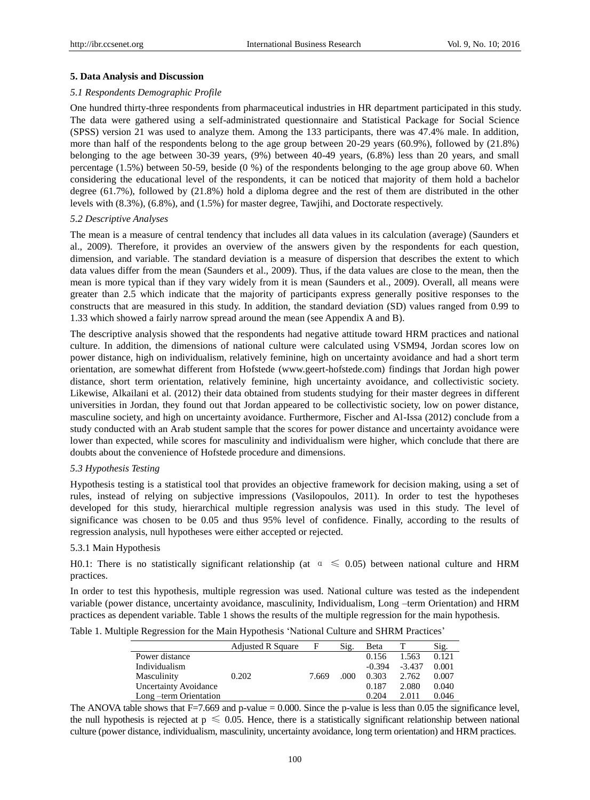#### **5. Data Analysis and Discussion**

#### *5.1 Respondents Demographic Profile*

One hundred thirty-three respondents from pharmaceutical industries in HR department participated in this study. The data were gathered using a self-administrated questionnaire and Statistical Package for Social Science (SPSS) version 21 was used to analyze them. Among the 133 participants, there was 47.4% male. In addition, more than half of the respondents belong to the age group between 20-29 years (60.9%), followed by (21.8%) belonging to the age between 30-39 years, (9%) between 40-49 years, (6.8%) less than 20 years, and small percentage (1.5%) between 50-59, beside (0 %) of the respondents belonging to the age group above 60. When considering the educational level of the respondents, it can be noticed that majority of them hold a bachelor degree (61.7%), followed by (21.8%) hold a diploma degree and the rest of them are distributed in the other levels with (8.3%), (6.8%), and (1.5%) for master degree, Tawjihi, and Doctorate respectively.

## *5.2 Descriptive Analyses*

The mean is a measure of central tendency that includes all data values in its calculation (average) (Saunders et al., 2009). Therefore, it provides an overview of the answers given by the respondents for each question, dimension, and variable. The standard deviation is a measure of dispersion that describes the extent to which data values differ from the mean (Saunders et al., 2009). Thus, if the data values are close to the mean, then the mean is more typical than if they vary widely from it is mean (Saunders et al., 2009). Overall, all means were greater than 2.5 which indicate that the majority of participants express generally positive responses to the constructs that are measured in this study. In addition, the standard deviation (SD) values ranged from 0.99 to 1.33 which showed a fairly narrow spread around the mean (see Appendix A and B).

The descriptive analysis showed that the respondents had negative attitude toward HRM practices and national culture. In addition, the dimensions of national culture were calculated using VSM94, Jordan scores low on power distance, high on individualism, relatively feminine, high on uncertainty avoidance and had a short term orientation, are somewhat different from Hofstede (www.geert-hofstede.com) findings that Jordan high power distance, short term orientation, relatively feminine, high uncertainty avoidance, and collectivistic society. Likewise, Alkailani et al. (2012) their data obtained from students studying for their master degrees in different universities in Jordan, they found out that Jordan appeared to be collectivistic society, low on power distance, masculine society, and high on uncertainty avoidance. Furthermore, Fischer and Al-Issa (2012) conclude from a study conducted with an Arab student sample that the scores for power distance and uncertainty avoidance were lower than expected, while scores for masculinity and individualism were higher, which conclude that there are doubts about the convenience of Hofstede procedure and dimensions.

#### *5.3 Hypothesis Testing*

Hypothesis testing is a statistical tool that provides an objective framework for decision making, using a set of rules, instead of relying on subjective impressions (Vasilopoulos, 2011). In order to test the hypotheses developed for this study, hierarchical multiple regression analysis was used in this study. The level of significance was chosen to be 0.05 and thus 95% level of confidence. Finally, according to the results of regression analysis, null hypotheses were either accepted or rejected.

#### 5.3.1 Main Hypothesis

H0.1: There is no statistically significant relationship (at  $\alpha \leq 0.05$ ) between national culture and HRM practices.

In order to test this hypothesis, multiple regression was used. National culture was tested as the independent variable (power distance, uncertainty avoidance, masculinity, Individualism, Long –term Orientation) and HRM practices as dependent variable. Table 1 shows the results of the multiple regression for the main hypothesis.

Table 1. Multiple Regression for the Main Hypothesis "National Culture and SHRM Practices"

|                              | <b>Adjusted R Square</b> |       | Sig. | Beta     |          | Sig.  |
|------------------------------|--------------------------|-------|------|----------|----------|-------|
| Power distance               |                          |       |      | 0.156    | 1.563    | 0.121 |
| Individualism                |                          |       |      | $-0.394$ | $-3.437$ | 0.001 |
| Masculinity                  | 0.202                    | 7.669 | .000 | 0.303    | 2.762    | 0.007 |
| <b>Uncertainty Avoidance</b> |                          |       |      | 0.187    | 2.080    | 0.040 |
| Long-term Orientation        |                          |       |      | 0.204    | 2.011    | 0.046 |

The ANOVA table shows that  $F=7.669$  and p-value = 0.000. Since the p-value is less than 0.05 the significance level, the null hypothesis is rejected at  $p \le 0.05$ . Hence, there is a statistically significant relationship between national culture (power distance, individualism, masculinity, uncertainty avoidance, long term orientation) and HRM practices.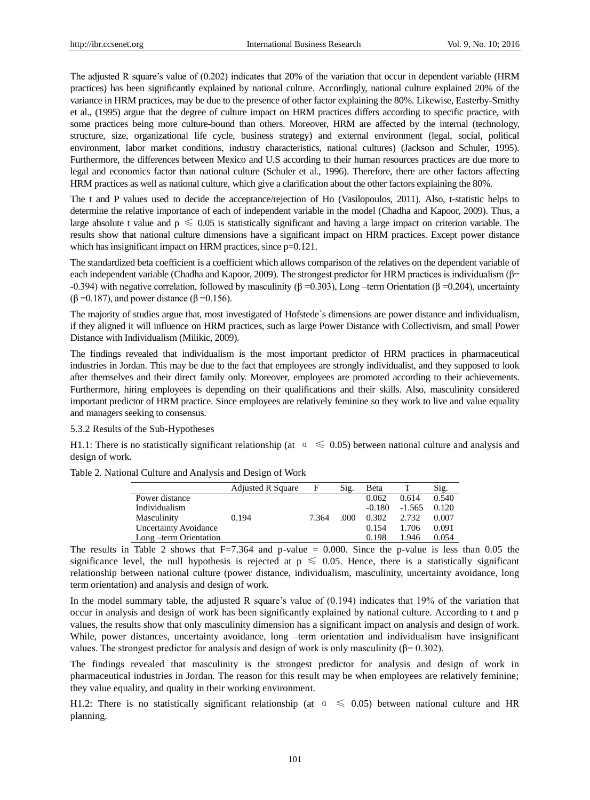The adjusted R square's value of (0.202) indicates that 20% of the variation that occur in dependent variable (HRM practices) has been significantly explained by national culture. Accordingly, national culture explained 20% of the variance in HRM practices, may be due to the presence of other factor explaining the 80%. Likewise, Easterby-Smithy et al., (1995) argue that the degree of culture impact on HRM practices differs according to specific practice, with some practices being more culture-bound than others. Moreover, HRM are affected by the internal (technology, structure, size, organizational life cycle, business strategy) and external environment (legal, social, political environment, labor market conditions, industry characteristics, national cultures) (Jackson and Schuler, 1995). Furthermore, the differences between Mexico and U.S according to their human resources practices are due more to legal and economics factor than national culture (Schuler et al., 1996). Therefore, there are other factors affecting HRM practices as well as national culture, which give a clarification about the other factors explaining the 80%.

The t and P values used to decide the acceptance/rejection of Ho (Vasilopoulos, 2011). Also, t-statistic helps to determine the relative importance of each of independent variable in the model (Chadha and Kapoor, 2009). Thus, a large absolute t value and  $p \leq 0.05$  is statistically significant and having a large impact on criterion variable. The results show that national culture dimensions have a significant impact on HRM practices. Except power distance which has insignificant impact on HRM practices, since  $p=0.121$ .

The standardized beta coefficient is a coefficient which allows comparison of the relatives on the dependent variable of each independent variable (Chadha and Kapoor, 2009). The strongest predictor for HRM practices is individualism (β= -0.394) with negative correlation, followed by masculinity (β =0.303), Long –term Orientation (β =0.204), uncertainty ( $\beta$  =0.187), and power distance ( $\beta$  =0.156).

The majority of studies argue that, most investigated of Hofstede`s dimensions are power distance and individualism, if they aligned it will influence on HRM practices, such as large Power Distance with Collectivism, and small Power Distance with Individualism (Milikic, 2009).

The findings revealed that individualism is the most important predictor of HRM practices in pharmaceutical industries in Jordan. This may be due to the fact that employees are strongly individualist, and they supposed to look after themselves and their direct family only. Moreover, employees are promoted according to their achievements. Furthermore, hiring employees is depending on their qualifications and their skills. Also, masculinity considered important predictor of HRM practice. Since employees are relatively feminine so they work to live and value equality and managers seeking to consensus.

5.3.2 Results of the Sub-Hypotheses

H1.1: There is no statistically significant relationship (at  $\alpha \leq 0.05$ ) between national culture and analysis and design of work.

|                              | <b>Adjusted R Square</b> | F     | Sig. | Beta     |          | Sig.  |
|------------------------------|--------------------------|-------|------|----------|----------|-------|
| Power distance               |                          |       |      | 0.062    | 0.614    | 0.540 |
| Individualism                |                          |       |      | $-0.180$ | $-1.565$ | 0.120 |
| Masculinity                  | 0.194                    | 7.364 | .000 | 0.302    | 2.732    | 0.007 |
| <b>Uncertainty Avoidance</b> |                          |       |      | 0.154    | 1.706    | 0.091 |
| Long-term Orientation        |                          |       |      | 0.198    | 1.946    | 0.054 |

Table 2. National Culture and Analysis and Design of Work

The results in Table 2 shows that  $F=7.364$  and p-value = 0.000. Since the p-value is less than 0.05 the significance level, the null hypothesis is rejected at  $p \le 0.05$ . Hence, there is a statistically significant relationship between national culture (power distance, individualism, masculinity, uncertainty avoidance, long term orientation) and analysis and design of work.

In the model summary table, the adjusted R square's value of  $(0.194)$  indicates that 19% of the variation that occur in analysis and design of work has been significantly explained by national culture. According to t and p values, the results show that only masculinity dimension has a significant impact on analysis and design of work. While, power distances, uncertainty avoidance, long –term orientation and individualism have insignificant values. The strongest predictor for analysis and design of work is only masculinity (β=  $0.302$ ).

The findings revealed that masculinity is the strongest predictor for analysis and design of work in pharmaceutical industries in Jordan. The reason for this result may be when employees are relatively feminine; they value equality, and quality in their working environment.

H1.2: There is no statistically significant relationship (at  $\alpha \leq 0.05$ ) between national culture and HR planning.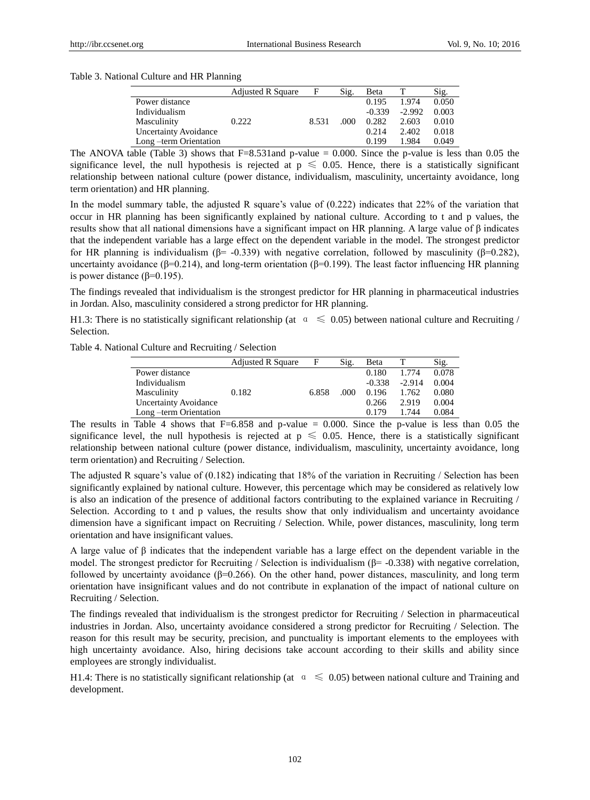#### Table 3. National Culture and HR Planning

|                              | <b>Adjusted R Square</b> | F     | Sig. | Beta     |          | Sig.  |
|------------------------------|--------------------------|-------|------|----------|----------|-------|
| Power distance               |                          |       |      | 0.195    | 1.974    | 0.050 |
| Individualism                |                          |       |      | $-0.339$ | $-2.992$ | 0.003 |
| Masculinity                  | 0.222                    | 8.531 | .000 | 0.282    | 2.603    | 0.010 |
| <b>Uncertainty Avoidance</b> |                          |       |      | 0.214    | 2.402    | 0.018 |
| Long-term Orientation        |                          |       |      | 0.199    | 1.984    | 0.049 |

The ANOVA table (Table 3) shows that  $F=8.531$  and p-value = 0.000. Since the p-value is less than 0.05 the significance level, the null hypothesis is rejected at  $p \le 0.05$ . Hence, there is a statistically significant relationship between national culture (power distance, individualism, masculinity, uncertainty avoidance, long term orientation) and HR planning.

In the model summary table, the adjusted R square's value of  $(0.222)$  indicates that  $22\%$  of the variation that occur in HR planning has been significantly explained by national culture. According to t and p values, the results show that all national dimensions have a significant impact on HR planning. A large value of β indicates that the independent variable has a large effect on the dependent variable in the model. The strongest predictor for HR planning is individualism (β= -0.339) with negative correlation, followed by masculinity (β=0.282), uncertainty avoidance ( $β=0.214$ ), and long-term orientation ( $β=0.199$ ). The least factor influencing HR planning is power distance ( $β=0.195$ ).

The findings revealed that individualism is the strongest predictor for HR planning in pharmaceutical industries in Jordan. Also, masculinity considered a strong predictor for HR planning.

H1.3: There is no statistically significant relationship (at  $\alpha \leq 0.05$ ) between national culture and Recruiting / **Selection** 

| Table 4. National Culture and Recruiting / Selection |  |  |  |
|------------------------------------------------------|--|--|--|
|------------------------------------------------------|--|--|--|

|                              | <b>Adjusted R Square</b> | F     | Sig. | Beta     |          | Sig.  |
|------------------------------|--------------------------|-------|------|----------|----------|-------|
| Power distance               |                          |       |      | 0.180    | 1.774    | 0.078 |
| Individualism                |                          |       |      | $-0.338$ | $-2.914$ | 0.004 |
| Masculinity                  | 0.182                    | 6.858 | .000 | 0.196    | 1.762    | 0.080 |
| <b>Uncertainty Avoidance</b> |                          |       |      | 0.266    | 2.919    | 0.004 |
| Long-term Orientation        |                          |       |      | 0.179    | 1.744    | 0.084 |

The results in Table 4 shows that  $F=6.858$  and p-value = 0.000. Since the p-value is less than 0.05 the significance level, the null hypothesis is rejected at  $p \le 0.05$ . Hence, there is a statistically significant relationship between national culture (power distance, individualism, masculinity, uncertainty avoidance, long term orientation) and Recruiting / Selection.

The adjusted R square's value of  $(0.182)$  indicating that 18% of the variation in Recruiting / Selection has been significantly explained by national culture. However, this percentage which may be considered as relatively low is also an indication of the presence of additional factors contributing to the explained variance in Recruiting / Selection. According to t and p values, the results show that only individualism and uncertainty avoidance dimension have a significant impact on Recruiting / Selection. While, power distances, masculinity, long term orientation and have insignificant values.

A large value of  $\beta$  indicates that the independent variable has a large effect on the dependent variable in the model. The strongest predictor for Recruiting / Selection is individualism ( $\beta$ = -0.338) with negative correlation, followed by uncertainty avoidance  $(\beta=0.266)$ . On the other hand, power distances, masculinity, and long term orientation have insignificant values and do not contribute in explanation of the impact of national culture on Recruiting / Selection.

The findings revealed that individualism is the strongest predictor for Recruiting / Selection in pharmaceutical industries in Jordan. Also, uncertainty avoidance considered a strong predictor for Recruiting / Selection. The reason for this result may be security, precision, and punctuality is important elements to the employees with high uncertainty avoidance. Also, hiring decisions take account according to their skills and ability since employees are strongly individualist.

H1.4: There is no statistically significant relationship (at  $\alpha \leq 0.05$ ) between national culture and Training and development.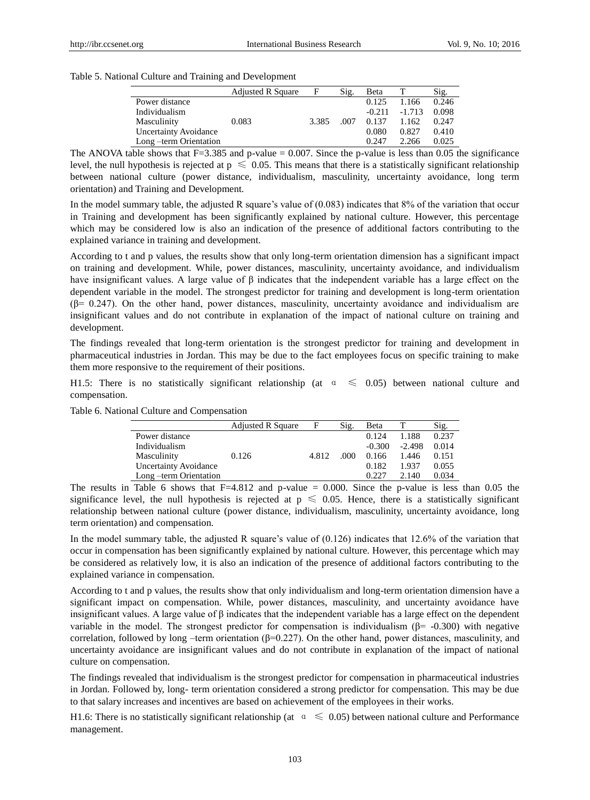## Table 5. National Culture and Training and Development

|                              | <b>Adjusted R Square</b> | F     | Sig. | Beta     |          | Sig.  |
|------------------------------|--------------------------|-------|------|----------|----------|-------|
| Power distance               |                          |       |      | 0.125    | 1.166    | 0.246 |
| Individualism                |                          |       |      | $-0.211$ | $-1.713$ | 0.098 |
| Masculinity                  | 0.083                    | 3.385 | .007 | 0.137    | 1.162    | 0.247 |
| <b>Uncertainty Avoidance</b> |                          |       |      | 0.080    | 0.827    | 0.410 |
| Long-term Orientation        |                          |       |      | 0.247    | 2.266    | 0.025 |

The ANOVA table shows that  $F=3.385$  and p-value = 0.007. Since the p-value is less than 0.05 the significance level, the null hypothesis is rejected at  $p \le 0.05$ . This means that there is a statistically significant relationship between national culture (power distance, individualism, masculinity, uncertainty avoidance, long term orientation) and Training and Development.

In the model summary table, the adjusted R square's value of  $(0.083)$  indicates that 8% of the variation that occur in Training and development has been significantly explained by national culture. However, this percentage which may be considered low is also an indication of the presence of additional factors contributing to the explained variance in training and development.

According to t and p values, the results show that only long-term orientation dimension has a significant impact on training and development. While, power distances, masculinity, uncertainty avoidance, and individualism have insignificant values. A large value of β indicates that the independent variable has a large effect on the dependent variable in the model. The strongest predictor for training and development is long-term orientation  $(\beta$ = 0.247). On the other hand, power distances, masculinity, uncertainty avoidance and individualism are insignificant values and do not contribute in explanation of the impact of national culture on training and development.

The findings revealed that long-term orientation is the strongest predictor for training and development in pharmaceutical industries in Jordan. This may be due to the fact employees focus on specific training to make them more responsive to the requirement of their positions.

H1.5: There is no statistically significant relationship (at  $\alpha \leq 0.05$ ) between national culture and compensation.

Table 6. National Culture and Compensation

|                              | <b>Adjusted R Square</b> | F     | Sig. | Beta     |          | Sig.  |
|------------------------------|--------------------------|-------|------|----------|----------|-------|
| Power distance               |                          |       |      | 0.124    | 1.188    | 0.237 |
| Individualism                |                          |       |      | $-0.300$ | $-2.498$ | 0.014 |
| Masculinity                  | 0.126                    | 4.812 | .000 | 0.166    | 1.446    | 0.151 |
| <b>Uncertainty Avoidance</b> |                          |       |      | 0.182    | 1.937    | 0.055 |
| Long –term Orientation       |                          |       |      | 0.227    | 2.140    | 0.034 |

The results in Table 6 shows that  $F=4.812$  and p-value = 0.000. Since the p-value is less than 0.05 the significance level, the null hypothesis is rejected at  $p \le 0.05$ . Hence, there is a statistically significant relationship between national culture (power distance, individualism, masculinity, uncertainty avoidance, long term orientation) and compensation.

In the model summary table, the adjusted R square's value of  $(0.126)$  indicates that 12.6% of the variation that occur in compensation has been significantly explained by national culture. However, this percentage which may be considered as relatively low, it is also an indication of the presence of additional factors contributing to the explained variance in compensation.

According to t and p values, the results show that only individualism and long-term orientation dimension have a significant impact on compensation. While, power distances, masculinity, and uncertainty avoidance have insignificant values. A large value of  $\beta$  indicates that the independent variable has a large effect on the dependent variable in the model. The strongest predictor for compensation is individualism  $(\beta = -0.300)$  with negative correlation, followed by long –term orientation (β=0.227). On the other hand, power distances, masculinity, and uncertainty avoidance are insignificant values and do not contribute in explanation of the impact of national culture on compensation.

The findings revealed that individualism is the strongest predictor for compensation in pharmaceutical industries in Jordan. Followed by, long- term orientation considered a strong predictor for compensation. This may be due to that salary increases and incentives are based on achievement of the employees in their works.

H1.6: There is no statistically significant relationship (at  $\alpha \leq 0.05$ ) between national culture and Performance management.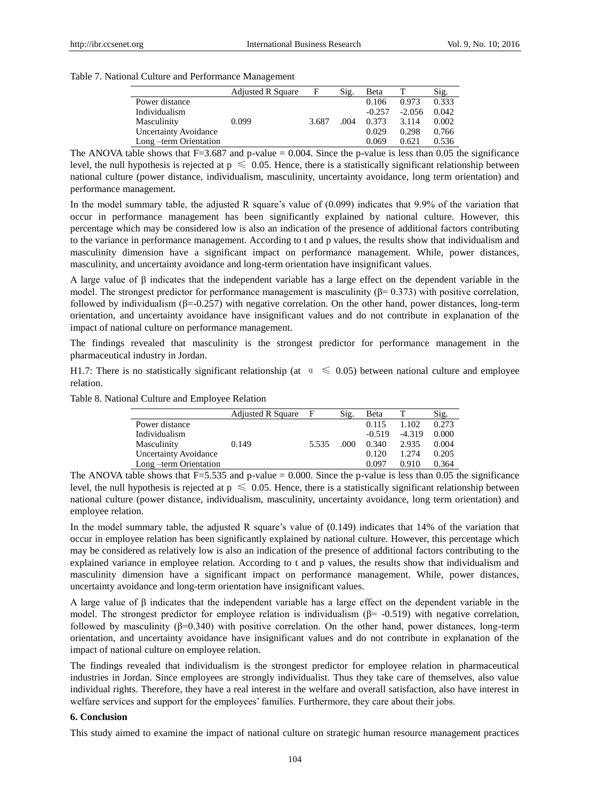## Table 7. National Culture and Performance Management

|                              | <b>Adjusted R Square</b> | F     | Sig. | Beta     |          | Sig.  |
|------------------------------|--------------------------|-------|------|----------|----------|-------|
| Power distance               |                          |       |      | 0.106    | 0.973    | 0.333 |
| Individualism                |                          |       |      | $-0.257$ | $-2.056$ | 0.042 |
| Masculinity                  | 0.099                    | 3.687 | .004 | 0.373    | 3.114    | 0.002 |
| <b>Uncertainty Avoidance</b> |                          |       |      | 0.029    | 0.298    | 0.766 |
| Long-term Orientation        |                          |       |      | 0.069    | 0.621    | 0.536 |

The ANOVA table shows that  $F=3.687$  and p-value = 0.004. Since the p-value is less than 0.05 the significance level, the null hypothesis is rejected at  $p \le 0.05$ . Hence, there is a statistically significant relationship between national culture (power distance, individualism, masculinity, uncertainty avoidance, long term orientation) and performance management.

In the model summary table, the adjusted R square's value of  $(0.099)$  indicates that 9.9% of the variation that occur in performance management has been significantly explained by national culture. However, this percentage which may be considered low is also an indication of the presence of additional factors contributing to the variance in performance management. According to t and p values, the results show that individualism and masculinity dimension have a significant impact on performance management. While, power distances, masculinity, and uncertainty avoidance and long-term orientation have insignificant values.

A large value of  $\beta$  indicates that the independent variable has a large effect on the dependent variable in the model. The strongest predictor for performance management is masculinity ( $\beta$ = 0.373) with positive correlation, followed by individualism ( $\beta$ =-0.257) with negative correlation. On the other hand, power distances, long-term orientation, and uncertainty avoidance have insignificant values and do not contribute in explanation of the impact of national culture on performance management.

The findings revealed that masculinity is the strongest predictor for performance management in the pharmaceutical industry in Jordan.

H1.7: There is no statistically significant relationship (at  $\alpha \leq 0.05$ ) between national culture and employee relation.

Table 8. National Culture and Employee Relation

|                              | <b>Adjusted R Square</b> | F     | Sig. | Beta     |          | Sig.  |
|------------------------------|--------------------------|-------|------|----------|----------|-------|
| Power distance               |                          |       |      | 0.115    | 1.102    | 0.273 |
| Individualism                |                          |       |      | $-0.519$ | $-4.319$ | 0.000 |
| Masculinity                  | 0.149                    | 5.535 | .000 | 0.340    | 2.935    | 0.004 |
| <b>Uncertainty Avoidance</b> |                          |       |      | 0.120    | 1.274    | 0.205 |
| Long-term Orientation        |                          |       |      | 0.097    | 0.910    | 0.364 |

The ANOVA table shows that  $F=5.535$  and p-value = 0.000. Since the p-value is less than 0.05 the significance level, the null hypothesis is rejected at  $p \le 0.05$ . Hence, there is a statistically significant relationship between national culture (power distance, individualism, masculinity, uncertainty avoidance, long term orientation) and employee relation.

In the model summary table, the adjusted R square's value of  $(0.149)$  indicates that 14% of the variation that occur in employee relation has been significantly explained by national culture. However, this percentage which may be considered as relatively low is also an indication of the presence of additional factors contributing to the explained variance in employee relation. According to t and p values, the results show that individualism and masculinity dimension have a significant impact on performance management. While, power distances, uncertainty avoidance and long-term orientation have insignificant values.

A large value of  $\beta$  indicates that the independent variable has a large effect on the dependent variable in the model. The strongest predictor for employee relation is individualism ( $\beta$ = -0.519) with negative correlation, followed by masculinity  $(\beta=0.340)$  with positive correlation. On the other hand, power distances, long-term orientation, and uncertainty avoidance have insignificant values and do not contribute in explanation of the impact of national culture on employee relation.

The findings revealed that individualism is the strongest predictor for employee relation in pharmaceutical industries in Jordan. Since employees are strongly individualist. Thus they take care of themselves, also value individual rights. Therefore, they have a real interest in the welfare and overall satisfaction, also have interest in welfare services and support for the employees" families. Furthermore, they care about their jobs.

#### **6. Conclusion**

This study aimed to examine the impact of national culture on strategic human resource management practices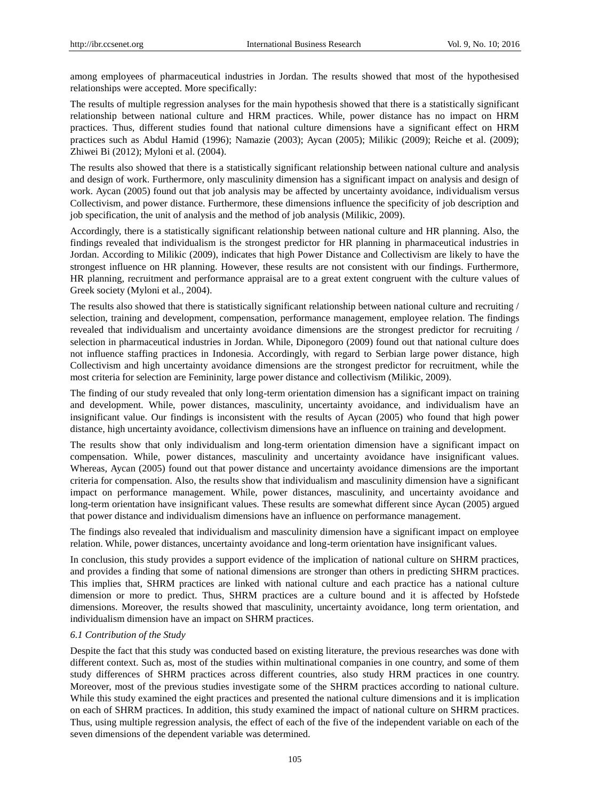among employees of pharmaceutical industries in Jordan. The results showed that most of the hypothesised relationships were accepted. More specifically:

The results of multiple regression analyses for the main hypothesis showed that there is a statistically significant relationship between national culture and HRM practices. While, power distance has no impact on HRM practices. Thus, different studies found that national culture dimensions have a significant effect on HRM practices such as Abdul Hamid (1996); Namazie (2003); Aycan (2005); Milikic (2009); Reiche et al. (2009); Zhiwei Bi (2012); Myloni et al. (2004).

The results also showed that there is a statistically significant relationship between national culture and analysis and design of work. Furthermore, only masculinity dimension has a significant impact on analysis and design of work. Aycan (2005) found out that job analysis may be affected by uncertainty avoidance, individualism versus Collectivism, and power distance. Furthermore, these dimensions influence the specificity of job description and job specification, the unit of analysis and the method of job analysis (Milikic, 2009).

Accordingly, there is a statistically significant relationship between national culture and HR planning. Also, the findings revealed that individualism is the strongest predictor for HR planning in pharmaceutical industries in Jordan. According to Milikic (2009), indicates that high Power Distance and Collectivism are likely to have the strongest influence on HR planning. However, these results are not consistent with our findings. Furthermore, HR planning, recruitment and performance appraisal are to a great extent congruent with the culture values of Greek society (Myloni et al., 2004).

The results also showed that there is statistically significant relationship between national culture and recruiting / selection, training and development, compensation, performance management, employee relation. The findings revealed that individualism and uncertainty avoidance dimensions are the strongest predictor for recruiting / selection in pharmaceutical industries in Jordan. While, Diponegoro (2009) found out that national culture does not influence staffing practices in Indonesia. Accordingly, with regard to Serbian large power distance, high Collectivism and high uncertainty avoidance dimensions are the strongest predictor for recruitment, while the most criteria for selection are Femininity, large power distance and collectivism (Milikic, 2009).

The finding of our study revealed that only long-term orientation dimension has a significant impact on training and development. While, power distances, masculinity, uncertainty avoidance, and individualism have an insignificant value. Our findings is inconsistent with the results of Aycan (2005) who found that high power distance, high uncertainty avoidance, collectivism dimensions have an influence on training and development.

The results show that only individualism and long-term orientation dimension have a significant impact on compensation. While, power distances, masculinity and uncertainty avoidance have insignificant values. Whereas, Aycan (2005) found out that power distance and uncertainty avoidance dimensions are the important criteria for compensation. Also, the results show that individualism and masculinity dimension have a significant impact on performance management. While, power distances, masculinity, and uncertainty avoidance and long-term orientation have insignificant values. These results are somewhat different since Aycan (2005) argued that power distance and individualism dimensions have an influence on performance management.

The findings also revealed that individualism and masculinity dimension have a significant impact on employee relation. While, power distances, uncertainty avoidance and long-term orientation have insignificant values.

In conclusion, this study provides a support evidence of the implication of national culture on SHRM practices, and provides a finding that some of national dimensions are stronger than others in predicting SHRM practices. This implies that, SHRM practices are linked with national culture and each practice has a national culture dimension or more to predict. Thus, SHRM practices are a culture bound and it is affected by Hofstede dimensions. Moreover, the results showed that masculinity, uncertainty avoidance, long term orientation, and individualism dimension have an impact on SHRM practices.

## *6.1 Contribution of the Study*

Despite the fact that this study was conducted based on existing literature, the previous researches was done with different context. Such as, most of the studies within multinational companies in one country, and some of them study differences of SHRM practices across different countries, also study HRM practices in one country. Moreover, most of the previous studies investigate some of the SHRM practices according to national culture. While this study examined the eight practices and presented the national culture dimensions and it is implication on each of SHRM practices. In addition, this study examined the impact of national culture on SHRM practices. Thus, using multiple regression analysis, the effect of each of the five of the independent variable on each of the seven dimensions of the dependent variable was determined.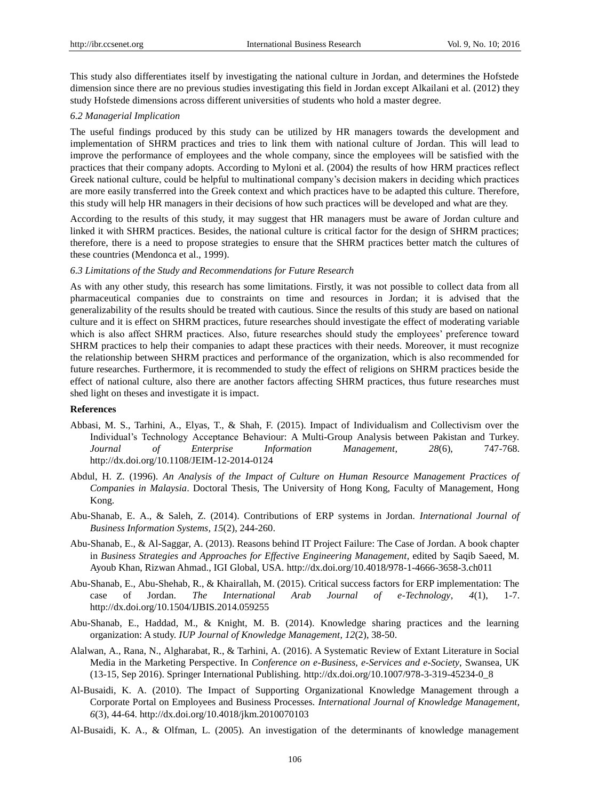This study also differentiates itself by investigating the national culture in Jordan, and determines the Hofstede dimension since there are no previous studies investigating this field in Jordan except Alkailani et al. (2012) they study Hofstede dimensions across different universities of students who hold a master degree.

## *6.2 Managerial Implication*

The useful findings produced by this study can be utilized by HR managers towards the development and implementation of SHRM practices and tries to link them with national culture of Jordan. This will lead to improve the performance of employees and the whole company, since the employees will be satisfied with the practices that their company adopts. According to Myloni et al. (2004) the results of how HRM practices reflect Greek national culture, could be helpful to multinational company"s decision makers in deciding which practices are more easily transferred into the Greek context and which practices have to be adapted this culture. Therefore, this study will help HR managers in their decisions of how such practices will be developed and what are they.

According to the results of this study, it may suggest that HR managers must be aware of Jordan culture and linked it with SHRM practices. Besides, the national culture is critical factor for the design of SHRM practices; therefore, there is a need to propose strategies to ensure that the SHRM practices better match the cultures of these countries (Mendonca et al., 1999).

#### *6.3 Limitations of the Study and Recommendations for Future Research*

As with any other study, this research has some limitations. Firstly, it was not possible to collect data from all pharmaceutical companies due to constraints on time and resources in Jordan; it is advised that the generalizability of the results should be treated with cautious. Since the results of this study are based on national culture and it is effect on SHRM practices, future researches should investigate the effect of moderating variable which is also affect SHRM practices. Also, future researches should study the employees' preference toward SHRM practices to help their companies to adapt these practices with their needs. Moreover, it must recognize the relationship between SHRM practices and performance of the organization, which is also recommended for future researches. Furthermore, it is recommended to study the effect of religions on SHRM practices beside the effect of national culture, also there are another factors affecting SHRM practices, thus future researches must shed light on theses and investigate it is impact.

#### **References**

- Abbasi, M. S., Tarhini, A., Elyas, T., & Shah, F. (2015). Impact of Individualism and Collectivism over the Individual"s Technology Acceptance Behaviour: A Multi-Group Analysis between Pakistan and Turkey. *Journal of Enterprise Information Management*, *28*(6), 747-768. <http://dx.doi.org/10.1108/JEIM-12-2014-0124>
- Abdul, H. Z. (1996). *An Analysis of the Impact of Culture on Human Resource Management Practices of Companies in Malaysia*. Doctoral Thesis, The University of Hong Kong, Faculty of Management, Hong Kong.
- Abu-Shanab, E. A., & Saleh, Z. (2014). Contributions of ERP systems in Jordan. *International Journal of Business Information Systems, 15*(2), 244-260.
- Abu-Shanab, E., & Al-Saggar, A. (2013). Reasons behind IT Project Failure: The Case of Jordan. A book chapter in *Business Strategies and Approaches for Effective Engineering Management*, edited by Saqib Saeed, M. Ayoub Khan, Rizwan Ahmad., IGI Global, USA.<http://dx.doi.org/10.4018/978-1-4666-3658-3.ch011>
- Abu-Shanab, E., Abu-Shehab, R., & Khairallah, M. (2015). Critical success factors for ERP implementation: The case of Jordan. *The International Arab Journal of e-Technology, 4*(1), 1-7. <http://dx.doi.org/10.1504/IJBIS.2014.059255>
- Abu-Shanab, E., Haddad, M., & Knight, M. B. (2014). Knowledge sharing practices and the learning organization: A study. *IUP Journal of Knowledge Management, 12*(2), 38-50.
- Alalwan, A., Rana, N., Algharabat, R., & Tarhini, A. (2016). A Systematic Review of Extant Literature in Social Media in the Marketing Perspective. In *Conference on e-Business, e-Services and e-Society*, Swansea, UK (13-15, Sep 2016). Springer International Publishing. [http://dx.doi.org/10.1007/978-3-319-45234-0\\_8](http://dx.doi.org/10.1007/978-3-319-45234-0_8)
- Al-Busaidi, K. A. (2010). The Impact of Supporting Organizational Knowledge Management through a Corporate Portal on Employees and Business Processes. *International Journal of Knowledge Management, 6*(3), 44-64.<http://dx.doi.org/10.4018/jkm.2010070103>
- Al-Busaidi, K. A., & Olfman, L. (2005). An investigation of the determinants of knowledge management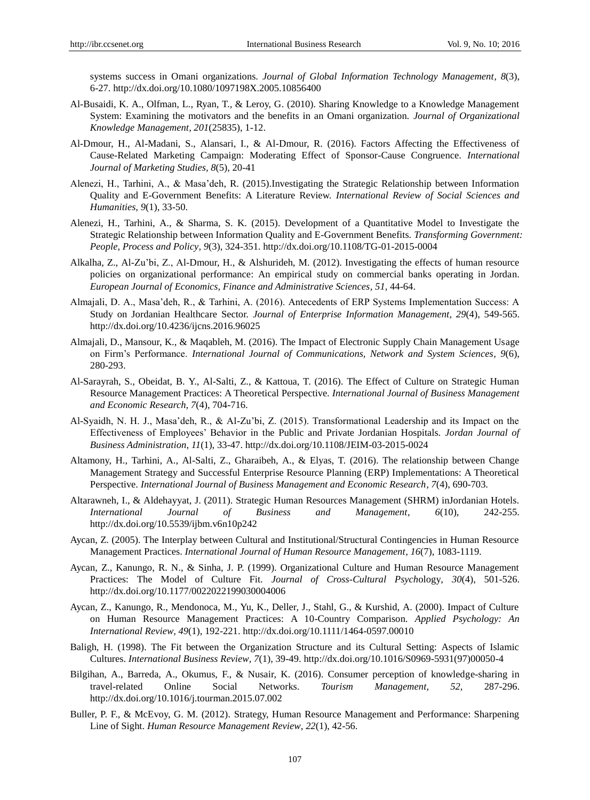systems success in Omani organizations. *Journal of Global Information Technology Management, 8*(3), 6-27.<http://dx.doi.org/10.1080/1097198X.2005.10856400>

- Al-Busaidi, K. A., Olfman, L., Ryan, T., & Leroy, G. (2010). Sharing Knowledge to a Knowledge Management System: Examining the motivators and the benefits in an Omani organization. *Journal of Organizational Knowledge Management, 201*(25835), 1-12.
- Al-Dmour, H., Al-Madani, S., Alansari, I., & Al-Dmour, R. (2016). Factors Affecting the Effectiveness of Cause-Related Marketing Campaign: Moderating Effect of Sponsor-Cause Congruence. *International Journal of Marketing Studies, 8*(5), 20-41
- Alenezi, H., Tarhini, A., & Masa"deh, R. (2015).Investigating the Strategic Relationship between Information Quality and E-Government Benefits: A Literature Review. *International Review of Social Sciences and Humanities, 9*(1), 33-50.
- Alenezi, H., Tarhini, A., & Sharma, S. K. (2015). Development of a Quantitative Model to Investigate the Strategic Relationship between Information Quality and E-Government Benefits. *Transforming Government: People, Process and Policy, 9*(3), 324-351[. http://dx.doi.org/10.1108/TG-01-2015-0004](http://dx.doi.org/10.1108/TG-01-2015-0004)
- Alkalha, Z., Al-Zu"bi, Z., Al-Dmour, H., & Alshurideh, M. (2012). Investigating the effects of human resource policies on organizational performance: An empirical study on commercial banks operating in Jordan. *European Journal of Economics, Finance and Administrative Sciences, 51,* 44-64.
- Almajali, D. A., Masa"deh, R., & Tarhini, A. (2016). Antecedents of ERP Systems Implementation Success: A Study on Jordanian Healthcare Sector. *Journal of Enterprise Information Management, 29*(4), 549-565. <http://dx.doi.org/10.4236/ijcns.2016.96025>
- Almajali, D., Mansour, K., & Maqableh, M. (2016). The Impact of Electronic Supply Chain Management Usage on Firm"s Performance. *International Journal of Communications, Network and System Sciences, 9*(6), 280-293.
- Al-Sarayrah, S., Obeidat, B. Y., Al-Salti, Z., & Kattoua, T. (2016). The Effect of Culture on Strategic Human Resource Management Practices: A Theoretical Perspective. *International Journal of Business Management and Economic Research, 7*(4), 704-716.
- Al-Syaidh, N. H. J., Masa"deh, R., & Al-Zu"bi, Z. (2015). Transformational Leadership and its Impact on the Effectiveness of Employees" Behavior in the Public and Private Jordanian Hospitals. *Jordan Journal of Business Administration, 11*(1), 33-47[. http://dx.doi.org/10.1108/JEIM-03-2015-0024](http://dx.doi.org/10.1108/JEIM-03-2015-0024)
- Altamony, H., Tarhini, A., Al-Salti, Z., Gharaibeh, A., & Elyas, T. (2016). The relationship between Change Management Strategy and Successful Enterprise Resource Planning (ERP) Implementations: A Theoretical Perspective. *International Journal of Business Management and Economic Research, 7*(4), 690-703.
- Altarawneh, I., & Aldehayyat, J. (2011). Strategic Human Resources Management (SHRM) inJordanian Hotels. *International Journal of Business and Management, 6*(10), 242-255. <http://dx.doi.org/10.5539/ijbm.v6n10p242>
- Aycan, Z. (2005). The Interplay between Cultural and Institutional/Structural Contingencies in Human Resource Management Practices. *International Journal of Human Resource Management, 16*(7), 1083-1119.
- Aycan, Z., Kanungo, R. N., & Sinha, J. P. (1999). Organizational Culture and Human Resource Management Practices: The Model of Culture Fit. *Journal of Cross-Cultural Psych*ology*, 30*(4), 501-526. <http://dx.doi.org/10.1177/0022022199030004006>
- Aycan, Z., Kanungo, R., Mendonoca, M., Yu, K., Deller, J., Stahl, G., & Kurshid, A. (2000). Impact of Culture on Human Resource Management Practices: A 10-Country Comparison. *Applied Psychology: An International Review, 49*(1), 192-221.<http://dx.doi.org/10.1111/1464-0597.00010>
- Baligh, H. (1998). The Fit between the Organization Structure and its Cultural Setting: Aspects of Islamic Cultures. *International Business Review, 7*(1), 39-49[. http://dx.doi.org/10.1016/S0969-5931\(97\)00050-4](http://dx.doi.org/10.1016/S0969-5931%2897%2900050-4)
- Bilgihan, A., Barreda, A., Okumus, F., & Nusair, K. (2016). Consumer perception of knowledge-sharing in travel-related Online Social Networks. *Tourism Management, 52,* 287-296. <http://dx.doi.org/10.1016/j.tourman.2015.07.002>
- Buller, P. F., & McEvoy, G. M. (2012). Strategy, Human Resource Management and Performance: Sharpening Line of Sight. *Human Resource Management Review, 22*(1), 42-56.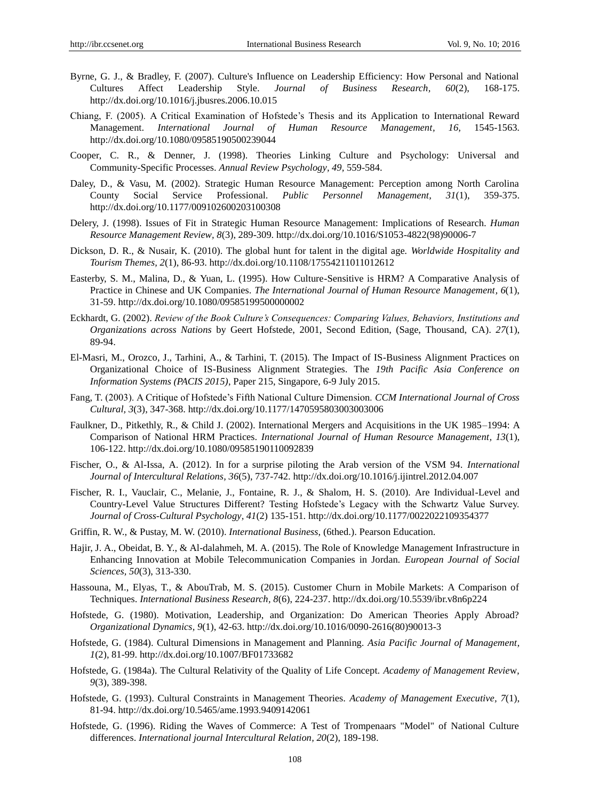- Byrne, G. J., & Bradley, F. (2007). Culture's Influence on Leadership Efficiency: How Personal and National Cultures Affect Leadership Style. *Journal of Business Research, 60*(2), 168-175. <http://dx.doi.org/10.1016/j.jbusres.2006.10.015>
- Chiang, F. (2005). A Critical Examination of Hofstede"s Thesis and its Application to International Reward Management. *International Journal of Human Resource Management, 16,* 1545-1563. <http://dx.doi.org/10.1080/09585190500239044>
- Cooper, C. R., & Denner, J. (1998). Theories Linking Culture and Psychology: Universal and Community-Specific Processes. *Annual Review Psychology, 49,* 559-584.
- Daley, D., & Vasu, M. (2002). Strategic Human Resource Management: Perception among North Carolina County Social Service Professional. *Public Personnel Management, 31*(1), 359-375. <http://dx.doi.org/10.1177/009102600203100308>
- Delery, J. (1998). Issues of Fit in Strategic Human Resource Management: Implications of Research. *Human Resource Management Review, 8*(3), 289-309. [http://dx.doi.org/10.1016/S1053-4822\(98\)90006-7](http://dx.doi.org/10.1016/S1053-4822%2898%2990006-7)
- Dickson, D. R., & Nusair, K. (2010). The global hunt for talent in the digital age*. Worldwide Hospitality and Tourism Themes, 2*(1), 86-93[. http://dx.doi.org/10.1108/17554211011012612](http://dx.doi.org/10.1108/17554211011012612)
- Easterby, S. M., Malina, D., & Yuan, L. (1995). How Culture-Sensitive is HRM? A Comparative Analysis of Practice in Chinese and UK Companies. *The International Journal of Human Resource Management, 6*(1), 31-59.<http://dx.doi.org/10.1080/09585199500000002>
- Eckhardt, G. (2002). *Review of the Book Culture's Consequences: Comparing Values, Behaviors, Institutions and Organizations across Nations* by Geert Hofstede, 2001, Second Edition, (Sage, Thousand, CA). *27*(1), 89-94.
- El-Masri, M., Orozco, J., Tarhini, A., & Tarhini, T. (2015). The Impact of IS-Business Alignment Practices on Organizational Choice of IS-Business Alignment Strategies. The *19th Pacific Asia Conference on Information Systems (PACIS 2015)*, Paper 215, Singapore, 6-9 July 2015.
- Fang, T. (2003). A Critique of Hofstede"s Fifth National Culture Dimension. *CCM International Journal of Cross Cultural, 3*(3), 347-368.<http://dx.doi.org/10.1177/1470595803003003006>
- Faulkner, D., Pitkethly, R., & Child J. (2002). International Mergers and Acquisitions in the UK 1985–1994: A Comparison of National HRM Practices. *International Journal of Human Resource Management, 13*(1), 106-122.<http://dx.doi.org/10.1080/09585190110092839>
- Fischer, O., & Al-Issa, A. (2012). In for a surprise piloting the Arab version of the VSM 94. *International Journal of Intercultural Relations, 36*(5), 737-742.<http://dx.doi.org/10.1016/j.ijintrel.2012.04.007>
- Fischer, R. I., Vauclair, C., Melanie, J., Fontaine, R. J., & Shalom, H. S. (2010). Are Individual-Level and Country-Level Value Structures Different? Testing Hofstede"s Legacy with the Schwartz Value Survey. *Journal of Cross-Cultural Psychology, 41*(2) 135-151.<http://dx.doi.org/10.1177/0022022109354377>
- Griffin, R. W., & Pustay, M. W. (2010). *International Business*, (6thed.). Pearson Education.
- Hajir, J. A., Obeidat, B. Y., & Al-dalahmeh, M. A. (2015). The Role of Knowledge Management Infrastructure in Enhancing Innovation at Mobile Telecommunication Companies in Jordan. *European Journal of Social Sciences, 50*(3), 313-330.
- Hassouna, M., Elyas, T., & AbouTrab, M. S. (2015). Customer Churn in Mobile Markets: A Comparison of Techniques. *International Business Research, 8*(6), 224-237.<http://dx.doi.org/10.5539/ibr.v8n6p224>
- Hofstede, G. (1980). Motivation, Leadership, and Organization: Do American Theories Apply Abroad? *Organizational Dynamics, 9*(1), 42-63. [http://dx.doi.org/10.1016/0090-2616\(80\)90013-3](http://dx.doi.org/10.1016/0090-2616%2880%2990013-3)
- Hofstede, G. (1984). Cultural Dimensions in Management and Planning. *Asia Pacific Journal of Management, 1*(2), 81-99.<http://dx.doi.org/10.1007/BF01733682>
- Hofstede, G. (1984a). The Cultural Relativity of the Quality of Life Concept. *Academy of Management Revie*w*, 9*(3), 389-398.
- Hofstede, G. (1993). Cultural Constraints in Management Theories. *Academy of Management Executive, 7*(1), 81-94.<http://dx.doi.org/10.5465/ame.1993.9409142061>
- Hofstede, G. (1996). Riding the Waves of Commerce: A Test of Trompenaars "Model" of National Culture differences. *International journal Intercultural Relation, 20*(2), 189-198.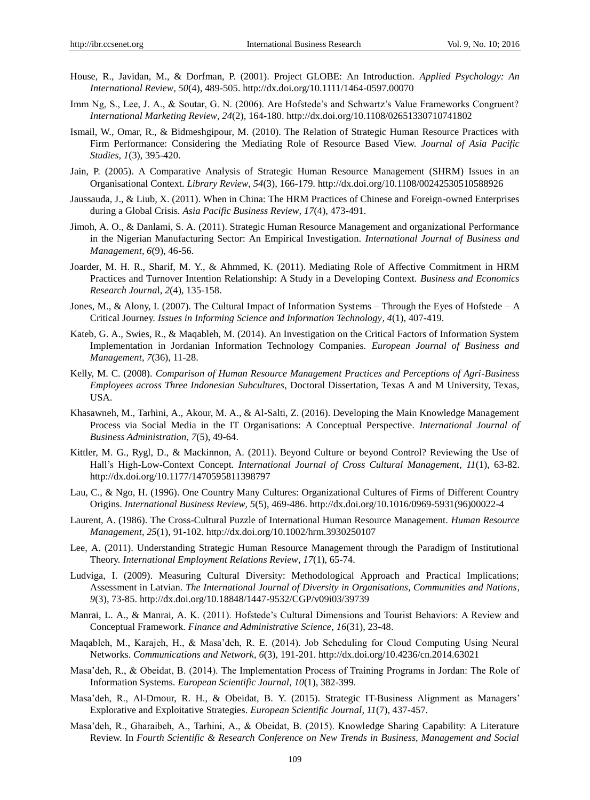- House, R., Javidan, M., & Dorfman, P. (2001). Project GLOBE: An Introduction. *Applied Psychology: An International Review, 50*(4), 489-505.<http://dx.doi.org/10.1111/1464-0597.00070>
- Imm Ng, S., Lee, J. A., & Soutar, G. N. (2006). Are Hofstede's and Schwartz's Value Frameworks Congruent? *International Marketing Review, 24*(2), 164-180.<http://dx.doi.org/10.1108/02651330710741802>
- Ismail, W., Omar, R., & Bidmeshgipour, M. (2010). The Relation of Strategic Human Resource Practices with Firm Performance: Considering the Mediating Role of Resource Based View. *Journal of Asia Pacific Studies, 1*(3), 395-420.
- Jain, P. (2005). A Comparative Analysis of Strategic Human Resource Management (SHRM) Issues in an Organisational Context. *Library Review, 54*(3), 166-179[. http://dx.doi.org/10.1108/00242530510588926](http://dx.doi.org/10.1108/00242530510588926)
- Jaussauda, J., & Liub, X. (2011). When in China: The HRM Practices of Chinese and Foreign-owned Enterprises during a Global Crisis. *Asia Pacific Business Review, 17*(4), 473-491.
- Jimoh, A. O., & Danlami, S. A. (2011). Strategic Human Resource Management and organizational Performance in the Nigerian Manufacturing Sector: An Empirical Investigation. *International Journal of Business and Management, 6*(9), 46-56.
- Joarder, M. H. R., Sharif, M. Y., & Ahmmed, K. (2011). Mediating Role of Affective Commitment in HRM Practices and Turnover Intention Relationship: A Study in a Developing Context. *Business and Economics Research Journa*l*, 2*(4), 135-158.
- Jones, M., & Alony, I. (2007). The Cultural Impact of Information Systems Through the Eyes of Hofstede A Critical Journey. *Issues in Informing Science and Information Technology, 4*(1), 407-419.
- Kateb, G. A., Swies, R., & Maqableh, M. (2014). An Investigation on the Critical Factors of Information System Implementation in Jordanian Information Technology Companies. *European Journal of Business and Management, 7*(36), 11-28.
- Kelly, M. C. (2008). *Comparison of Human Resource Management Practices and Perceptions of Agri-Business Employees across Three Indonesian Subcultures*, Doctoral Dissertation, Texas A and M University, Texas, USA.
- Khasawneh, M., Tarhini, A., Akour, M. A., & Al-Salti, Z. (2016). Developing the Main Knowledge Management Process via Social Media in the IT Organisations: A Conceptual Perspective. *International Journal of Business Administration, 7*(5), 49-64.
- Kittler, M. G., Rygl, D., & Mackinnon, A. (2011). Beyond Culture or beyond Control? Reviewing the Use of Hall"s High-Low-Context Concept. *International Journal of Cross Cultural Management, 11*(1), 63-82. <http://dx.doi.org/10.1177/1470595811398797>
- Lau, C., & Ngo, H. (1996). One Country Many Cultures: Organizational Cultures of Firms of Different Country Origins. *International Business Review, 5*(5), 469-486[. http://dx.doi.org/10.1016/0969-5931\(96\)00022-4](http://dx.doi.org/10.1016/0969-5931%2896%2900022-4)
- Laurent, A. (1986). The Cross-Cultural Puzzle of International Human Resource Management. *Human Resource Management, 25*(1), 91-102.<http://dx.doi.org/10.1002/hrm.3930250107>
- Lee, A. (2011). Understanding Strategic Human Resource Management through the Paradigm of Institutional Theory. *International Employment Relations Review, 17*(1), 65-74.
- Ludviga, I. (2009). Measuring Cultural Diversity: Methodological Approach and Practical Implications; Assessment in Latvian. *The International Journal of Diversity in Organisations, Communities and Nations, 9*(3), 73-85.<http://dx.doi.org/10.18848/1447-9532/CGP/v09i03/39739>
- Manrai, L. A., & Manrai, A. K. (2011). Hofstede's Cultural Dimensions and Tourist Behaviors: A Review and Conceptual Framework. *Finance and Administrative Science, 16*(31), 23-48.
- Maqableh, M., Karajeh, H., & Masa"deh, R. E. (2014). Job Scheduling for Cloud Computing Using Neural Networks. *Communications and Network, 6*(3), 191-201[. http://dx.doi.org/10.4236/cn.2014.63021](http://dx.doi.org/10.4236/cn.2014.63021)
- Masa"deh, R., & Obeidat, B. (2014). The Implementation Process of Training Programs in Jordan: The Role of Information Systems. *European Scientific Journal, 10*(1), 382-399.
- Masa"deh, R., Al-Dmour, R. H., & Obeidat, B. Y. (2015). Strategic IT-Business Alignment as Managers" Explorative and Exploitative Strategies. *European Scientific Journal, 11*(7), 437-457.
- Masa"deh, R., Gharaibeh, A., Tarhini, A., & Obeidat, B. (2015). Knowledge Sharing Capability: A Literature Review. In *Fourth Scientific & Research Conference on New Trends in Business, Management and Social*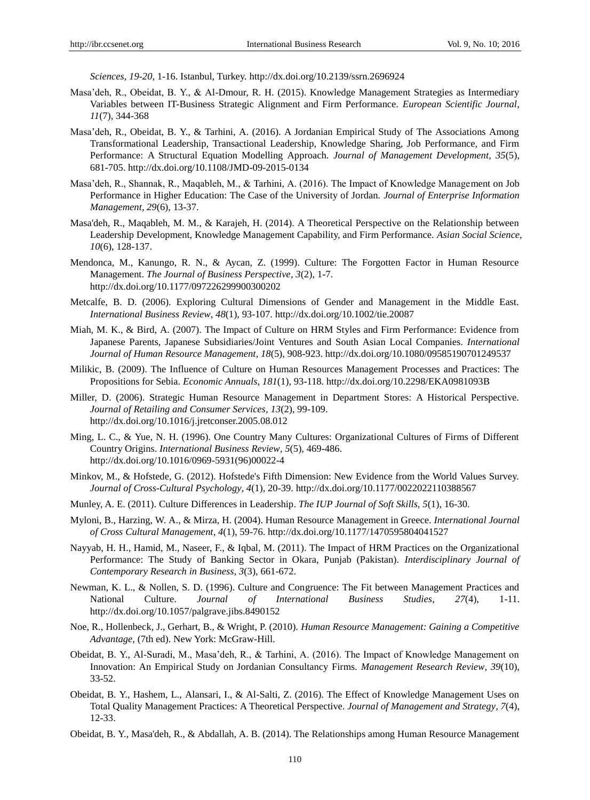*Sciences, 19-20,* 1-16. Istanbul, Turkey.<http://dx.doi.org/10.2139/ssrn.2696924>

- Masa"deh, R., Obeidat, B. Y., & Al-Dmour, R. H. (2015). Knowledge Management Strategies as Intermediary Variables between IT-Business Strategic Alignment and Firm Performance. *European Scientific Journal, 11*(7), 344-368
- Masa"deh, R., Obeidat, B. Y., & Tarhini, A. (2016). A Jordanian Empirical Study of The Associations Among Transformational Leadership, Transactional Leadership, Knowledge Sharing, Job Performance, and Firm Performance: A Structural Equation Modelling Approach. *Journal of Management Development, 35*(5), 681-705.<http://dx.doi.org/10.1108/JMD-09-2015-0134>
- Masa"deh, R., Shannak, R., Maqableh, M., & Tarhini, A. (2016). The Impact of Knowledge Management on Job Performance in Higher Education: The Case of the University of Jordan. *Journal of Enterprise Information Management, 29*(6), 13-37.
- Masa'deh, R., Maqableh, M. M., & Karajeh, H. (2014). A Theoretical Perspective on the Relationship between Leadership Development, Knowledge Management Capability, and Firm Performance. *Asian Social Science, 10*(6), 128-137.
- Mendonca, M., Kanungo, R. N., & Aycan, Z. (1999). Culture: The Forgotten Factor in Human Resource Management. *The Journal of Business Perspective, 3*(2), 1-7. <http://dx.doi.org/10.1177/097226299900300202>
- Metcalfe, B. D. (2006). Exploring Cultural Dimensions of Gender and Management in the Middle East. *International Business Review, 48*(1), 93-107[. http://dx.doi.org/10.1002/tie.20087](http://dx.doi.org/10.1002/tie.20087)
- Miah, M. K., & Bird, A. (2007). The Impact of Culture on HRM Styles and Firm Performance: Evidence from Japanese Parents, Japanese Subsidiaries/Joint Ventures and South Asian Local Companies. *International Journal of Human Resource Management, 18*(5), 908-923[. http://dx.doi.org/10.1080/09585190701249537](http://dx.doi.org/10.1080/09585190701249537)
- Milikic, B. (2009). The Influence of Culture on Human Resources Management Processes and Practices: The Propositions for Sebia. *Economic Annuals, 181*(1), 93-118[. http://dx.doi.org/10.2298/EKA0981093B](http://dx.doi.org/10.2298/EKA0981093B)
- Miller, D. (2006). Strategic Human Resource Management in Department Stores: A Historical Perspective. *Journal of Retailing and Consumer Services, 13*(2), 99-109. <http://dx.doi.org/10.1016/j.jretconser.2005.08.012>
- Ming, L. C., & Yue, N. H. (1996). One Country Many Cultures: Organizational Cultures of Firms of Different Country Origins. *International Business Review, 5*(5), 469-486. [http://dx.doi.org/10.1016/0969-5931\(96\)00022-4](http://dx.doi.org/10.1016/0969-5931%2896%2900022-4)
- Minkov, M., & Hofstede, G. (2012). Hofstede's Fifth Dimension: New Evidence from the World Values Survey. *Journal of Cross-Cultural Psychology, 4*(1), 20-39[. http://dx.doi.org/10.1177/0022022110388567](http://dx.doi.org/10.1177/0022022110388567)
- Munley, A. E. (2011). Culture Differences in Leadership. *The IUP Journal of Soft Skills, 5*(1), 16-30.
- Myloni, B., Harzing, W. A., & Mirza, H. (2004). Human Resource Management in Greece. *International Journal of Cross Cultural Management, 4*(1), 59-76.<http://dx.doi.org/10.1177/1470595804041527>
- Nayyab, H. H., Hamid, M., Naseer, F., & Iqbal, M. (2011). The Impact of HRM Practices on the Organizational Performance: The Study of Banking Sector in Okara, Punjab (Pakistan). *Interdisciplinary Journal of Contemporary Research in Business, 3*(3), 661-672.
- Newman, K. L., & Nollen, S. D. (1996). Culture and Congruence: The Fit between Management Practices and National Culture. *Journal of International Business Studies, 27*(4), 1-11. <http://dx.doi.org/10.1057/palgrave.jibs.8490152>
- Noe, R., Hollenbeck, J., Gerhart, B., & Wright, P. (2010). *Human Resource Management: Gaining a Competitive Advantage,* (7th ed). New York: McGraw-Hill.
- Obeidat, B. Y., Al-Suradi, M., Masa"deh, R., & Tarhini, A. (2016). The Impact of Knowledge Management on Innovation: An Empirical Study on Jordanian Consultancy Firms. *Management Research Review, 39*(10), 33-52.
- Obeidat, B. Y., Hashem, L., Alansari, I., & Al-Salti, Z. (2016). The Effect of Knowledge Management Uses on Total Quality Management Practices: A Theoretical Perspective. *Journal of Management and Strategy, 7*(4), 12-33.
- Obeidat, B. Y., Masa'deh, R., & Abdallah, A. B. (2014). The Relationships among Human Resource Management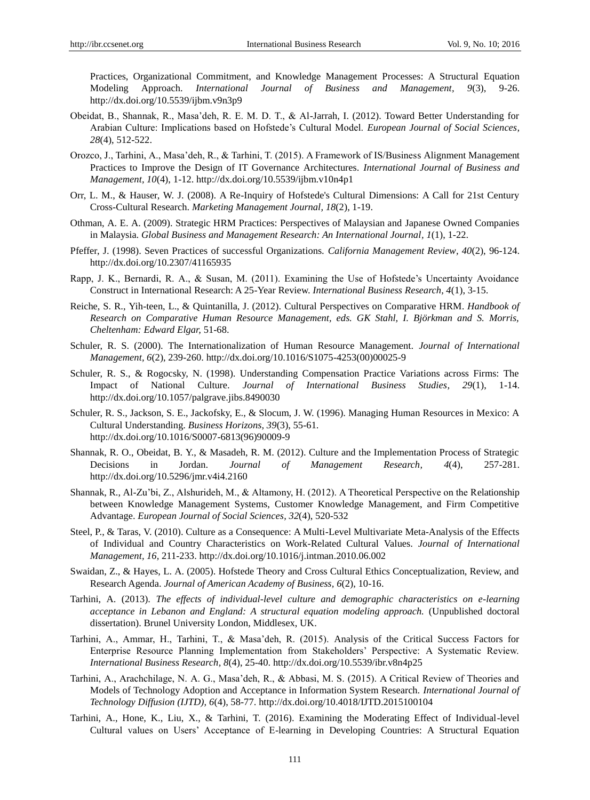Practices, Organizational Commitment, and Knowledge Management Processes: A Structural Equation Modeling Approach. *International Journal of Business and Management, 9*(3), 9-26. <http://dx.doi.org/10.5539/ijbm.v9n3p9>

- Obeidat, B., Shannak, R., Masa"deh, R. E. M. D. T., & Al-Jarrah, I. (2012). Toward Better Understanding for Arabian Culture: Implications based on Hofstede"s Cultural Model. *European Journal of Social Sciences, 28*(4), 512-522.
- Orozco, J., Tarhini, A., Masa"deh, R., & Tarhini, T. (2015). A Framework of IS/Business Alignment Management Practices to Improve the Design of IT Governance Architectures. *International Journal of Business and Management, 10*(4), 1-12.<http://dx.doi.org/10.5539/ijbm.v10n4p1>
- Orr, L. M., & Hauser, W. J. (2008). A Re-Inquiry of Hofstede's Cultural Dimensions: A Call for 21st Century Cross-Cultural Research. *Marketing Management Journal, 18*(2), 1-19.
- Othman, A. E. A. (2009). Strategic HRM Practices: Perspectives of Malaysian and Japanese Owned Companies in Malaysia. *Global Business and Management Research: An International Journal, 1*(1), 1-22.
- Pfeffer, J. (1998). Seven Practices of successful Organizations. *California Management Review, 40*(2), 96-124. <http://dx.doi.org/10.2307/41165935>
- Rapp, J. K., Bernardi, R. A., & Susan, M. (2011). Examining the Use of Hofstede"s Uncertainty Avoidance Construct in International Research: A 25-Year Review. *International Business Research, 4*(1), 3-15.
- Reiche, S. R., Yih-teen, L., & Quintanilla, J. (2012). Cultural Perspectives on Comparative HRM. *Handbook of Research on Comparative Human Resource Management, eds. GK Stahl, I. Björkman and S. Morris, Cheltenham: Edward Elgar,* 51-68.
- Schuler, R. S. (2000). The Internationalization of Human Resource Management. *Journal of International Management, 6*(2), 239-260. [http://dx.doi.org/10.1016/S1075-4253\(00\)00025-9](http://dx.doi.org/10.1016/S1075-4253%2800%2900025-9)
- Schuler, R. S., & Rogocsky, N. (1998). Understanding Compensation Practice Variations across Firms: The Impact of National Culture. *Journal of International Business Studies, 29*(1), 1-14. <http://dx.doi.org/10.1057/palgrave.jibs.8490030>
- Schuler, R. S., Jackson, S. E., Jackofsky, E., & Slocum, J. W. (1996). Managing Human Resources in Mexico: A Cultural Understanding. *Business Horizons, 39*(3), 55-61. [http://dx.doi.org/10.1016/S0007-6813\(96\)90009-9](http://dx.doi.org/10.1016/S0007-6813%2896%2990009-9)
- Shannak, R. O., Obeidat, B. Y., & Masadeh, R. M. (2012). Culture and the Implementation Process of Strategic Decisions in Jordan. *Journal of Management Research, 4*(4), 257-281. <http://dx.doi.org/10.5296/jmr.v4i4.2160>
- Shannak, R., Al-Zu"bi, Z., Alshurideh, M., & Altamony, H. (2012). A Theoretical Perspective on the Relationship between Knowledge Management Systems, Customer Knowledge Management, and Firm Competitive Advantage. *European Journal of Social Sciences, 32*(4), 520-532
- Steel, P., & Taras, V. (2010). Culture as a Consequence: A Multi-Level Multivariate Meta-Analysis of the Effects of Individual and Country Characteristics on Work-Related Cultural Values. *Journal of International Management, 16,* 211-233.<http://dx.doi.org/10.1016/j.intman.2010.06.002>
- Swaidan, Z., & Hayes, L. A. (2005). Hofstede Theory and Cross Cultural Ethics Conceptualization, Review, and Research Agenda. *Journal of American Academy of Business, 6*(2), 10-16.
- Tarhini, A. (2013). *The effects of individual-level culture and demographic characteristics on e-learning acceptance in Lebanon and England: A structural equation modeling approach.* (Unpublished doctoral dissertation). Brunel University London, Middlesex, UK.
- Tarhini, A., Ammar, H., Tarhini, T., & Masa"deh, R. (2015). Analysis of the Critical Success Factors for Enterprise Resource Planning Implementation from Stakeholders" Perspective: A Systematic Review. *International Business Research, 8*(4), 25-40[. http://dx.doi.org/10.5539/ibr.v8n4p25](http://dx.doi.org/10.5539/ibr.v8n4p25)
- Tarhini, A., Arachchilage, N. A. G., Masa"deh, R., & Abbasi, M. S. (2015). A Critical Review of Theories and Models of Technology Adoption and Acceptance in Information System Research. *International Journal of Technology Diffusion (IJTD), 6*(4), 58-77.<http://dx.doi.org/10.4018/IJTD.2015100104>
- Tarhini, A., Hone, K., Liu, X., & Tarhini, T. (2016). Examining the Moderating Effect of Individual-level Cultural values on Users" Acceptance of E-learning in Developing Countries: A Structural Equation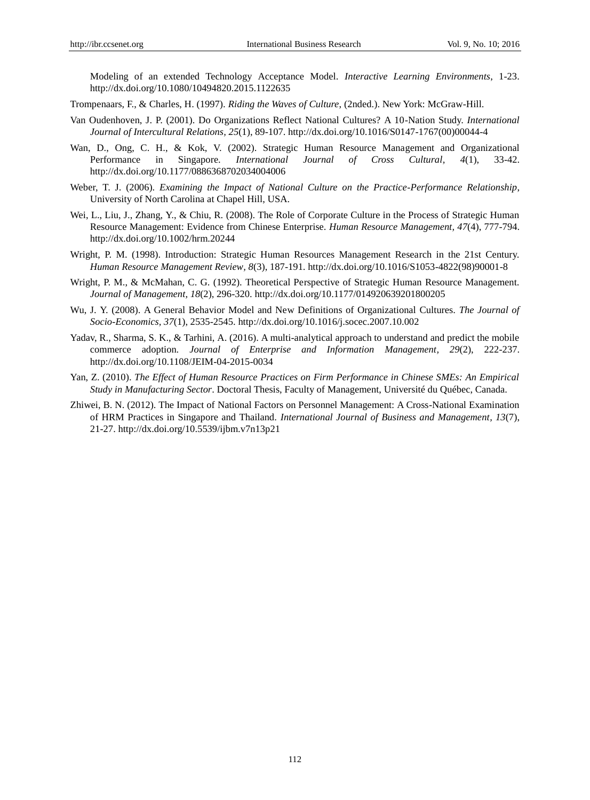Modeling of an extended Technology Acceptance Model. *Interactive Learning Environments*, 1-23. <http://dx.doi.org/10.1080/10494820.2015.1122635>

Trompenaars, F., & Charles, H. (1997). *Riding the Waves of Culture*, (2nded.). New York: McGraw-Hill.

- Van Oudenhoven, J. P. (2001). Do Organizations Reflect National Cultures? A 10-Nation Study. *International Journal of Intercultural Relations, 25*(1), 89-107. [http://dx.doi.org/10.1016/S0147-1767\(00\)00044-4](http://dx.doi.org/10.1016/S0147-1767%2800%2900044-4)
- Wan, D., Ong, C. H., & Kok, V. (2002). Strategic Human Resource Management and Organizational Performance in Singapore. *International Journal of Cross Cultural, 4*(1), 33-42. <http://dx.doi.org/10.1177/0886368702034004006>
- Weber, T. J. (2006). *Examining the Impact of National Culture on the Practice-Performance Relationship*, University of North Carolina at Chapel Hill, USA.
- Wei, L., Liu, J., Zhang, Y., & Chiu, R. (2008). The Role of Corporate Culture in the Process of Strategic Human Resource Management: Evidence from Chinese Enterprise. *Human Resource Management, 47*(4), 777-794. <http://dx.doi.org/10.1002/hrm.20244>
- Wright, P. M. (1998). Introduction: Strategic Human Resources Management Research in the 21st Century. *Human Resource Management Review, 8*(3), 187-191[. http://dx.doi.org/10.1016/S1053-4822\(98\)90001-8](http://dx.doi.org/10.1016/S1053-4822%2898%2990001-8)
- Wright, P. M., & McMahan, C. G. (1992). Theoretical Perspective of Strategic Human Resource Management. *Journal of Management, 18*(2), 296-320.<http://dx.doi.org/10.1177/014920639201800205>
- Wu, J. Y. (2008). A General Behavior Model and New Definitions of Organizational Cultures. *The Journal of Socio-Economics, 37*(1), 2535-2545.<http://dx.doi.org/10.1016/j.socec.2007.10.002>
- Yadav, R., Sharma, S. K., & Tarhini, A. (2016). A multi-analytical approach to understand and predict the mobile commerce adoption. *Journal of Enterprise and Information Management, 29*(2), 222-237. <http://dx.doi.org/10.1108/JEIM-04-2015-0034>
- Yan, Z. (2010). *The Effect of Human Resource Practices on Firm Performance in Chinese SMEs: An Empirical Study in Manufacturing Sector*. Doctoral Thesis, Faculty of Management, Université du Québec, Canada.
- Zhiwei, B. N. (2012). The Impact of National Factors on Personnel Management: A Cross-National Examination of HRM Practices in Singapore and Thailand. *International Journal of Business and Management, 13*(7), 21-27.<http://dx.doi.org/10.5539/ijbm.v7n13p21>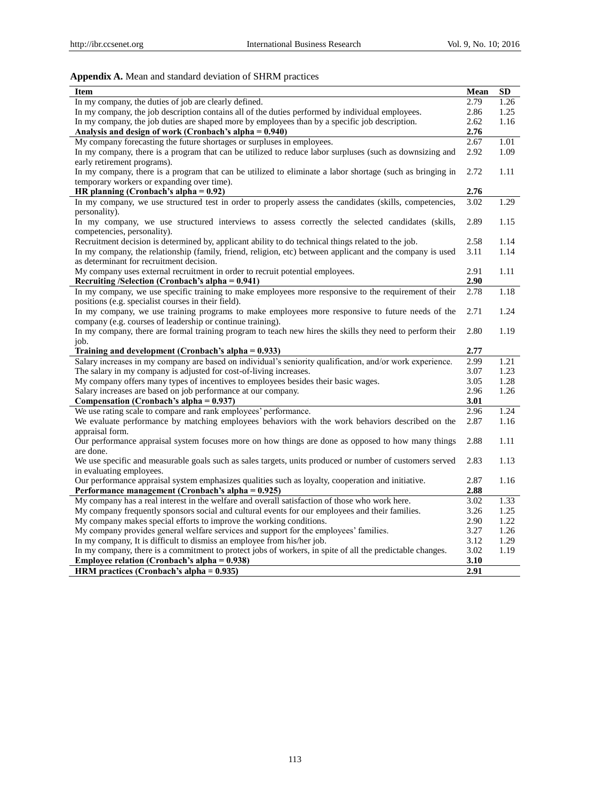## **Appendix A.** Mean and standard deviation of SHRM practices

| <b>Item</b>                                                                                               | Mean | <b>SD</b> |
|-----------------------------------------------------------------------------------------------------------|------|-----------|
| In my company, the duties of job are clearly defined.                                                     | 2.79 | 1.26      |
| In my company, the job description contains all of the duties performed by individual employees.          | 2.86 | 1.25      |
| In my company, the job duties are shaped more by employees than by a specific job description.            | 2.62 | 1.16      |
| Analysis and design of work (Cronbach's alpha $= 0.940$ )                                                 | 2.76 |           |
| My company forecasting the future shortages or surpluses in employees.                                    | 2.67 | 1.01      |
| In my company, there is a program that can be utilized to reduce labor surpluses (such as downsizing and  | 2.92 | 1.09      |
| early retirement programs).                                                                               |      |           |
| In my company, there is a program that can be utilized to eliminate a labor shortage (such as bringing in | 2.72 | 1.11      |
| temporary workers or expanding over time).                                                                |      |           |
| HR planning (Cronbach's alpha = $0.92$ )                                                                  | 2.76 |           |
| In my company, we use structured test in order to properly assess the candidates (skills, competencies,   | 3.02 | 1.29      |
| personality).                                                                                             |      |           |
| In my company, we use structured interviews to assess correctly the selected candidates (skills,          | 2.89 | 1.15      |
| competencies, personality).                                                                               |      |           |
| Recruitment decision is determined by, applicant ability to do technical things related to the job.       | 2.58 | 1.14      |
| In my company, the relationship (family, friend, religion, etc) between applicant and the company is used | 3.11 | 1.14      |
| as determinant for recruitment decision.                                                                  |      |           |
| My company uses external recruitment in order to recruit potential employees.                             | 2.91 | 1.11      |
| Recruiting /Selection (Cronbach's alpha = 0.941)                                                          | 2.90 |           |
| In my company, we use specific training to make employees more responsive to the requirement of their     | 2.78 | 1.18      |
| positions (e.g. specialist courses in their field).                                                       |      |           |
| In my company, we use training programs to make employees more responsive to future needs of the          | 2.71 | 1.24      |
| company (e.g. courses of leadership or continue training).                                                |      |           |
| In my company, there are formal training program to teach new hires the skills they need to perform their | 2.80 | 1.19      |
| iob.                                                                                                      |      |           |
| Training and development (Cronbach's alpha = $0.933$ )                                                    | 2.77 |           |
| Salary increases in my company are based on individual's seniority qualification, and/or work experience. | 2.99 | 1.21      |
| The salary in my company is adjusted for cost-of-living increases.                                        | 3.07 | 1.23      |
| My company offers many types of incentives to employees besides their basic wages.                        | 3.05 | 1.28      |
| Salary increases are based on job performance at our company.                                             | 2.96 | 1.26      |
| Compensation (Cronbach's alpha = $0.937$ )                                                                | 3.01 |           |
| We use rating scale to compare and rank employees' performance.                                           | 2.96 | 1.24      |
| We evaluate performance by matching employees behaviors with the work behaviors described on the          | 2.87 | 1.16      |
| appraisal form.                                                                                           |      |           |
| Our performance appraisal system focuses more on how things are done as opposed to how many things        | 2.88 | 1.11      |
| are done.                                                                                                 |      |           |
| We use specific and measurable goals such as sales targets, units produced or number of customers served  | 2.83 | 1.13      |
| in evaluating employees.                                                                                  |      |           |
| Our performance appraisal system emphasizes qualities such as loyalty, cooperation and initiative.        | 2.87 | 1.16      |
| Performance management (Cronbach's alpha = 0.925)                                                         | 2.88 |           |
| My company has a real interest in the welfare and overall satisfaction of those who work here.            | 3.02 | 1.33      |
| My company frequently sponsors social and cultural events for our employees and their families.           | 3.26 | 1.25      |
| My company makes special efforts to improve the working conditions.                                       | 2.90 | 1.22      |
| My company provides general welfare services and support for the employees' families.                     | 3.27 | 1.26      |
| In my company, It is difficult to dismiss an employee from his/her job.                                   | 3.12 | 1.29      |
| In my company, there is a commitment to protect jobs of workers, in spite of all the predictable changes. | 3.02 | 1.19      |
| Employee relation (Cronbach's alpha = $0.938$ )                                                           | 3.10 |           |
| HRM practices (Cronbach's alpha $= 0.935$ )                                                               | 2.91 |           |